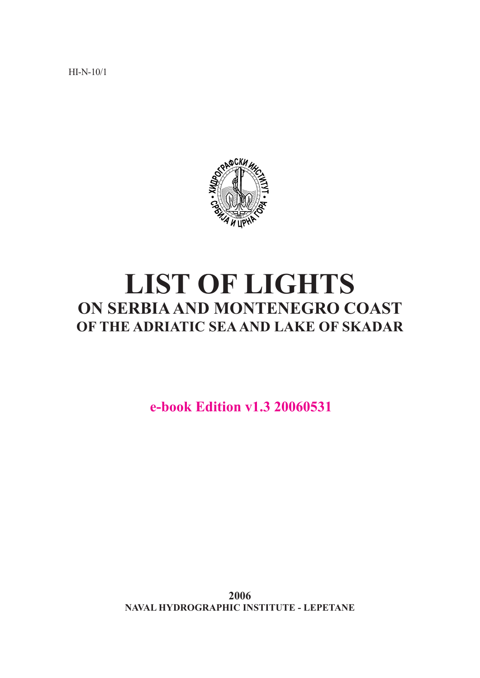HI-N-10/1



# **LIST OF LIGHTS ON SERBIA AND MONTENEGRO COAST OF THE ADRIATIC SEA AND LAKE OF SKADAR**

**e-book Edition v1.3 20060531**

**2006 NAVAL HYDROGRAPHIC INSTITUTE - LEPETANE**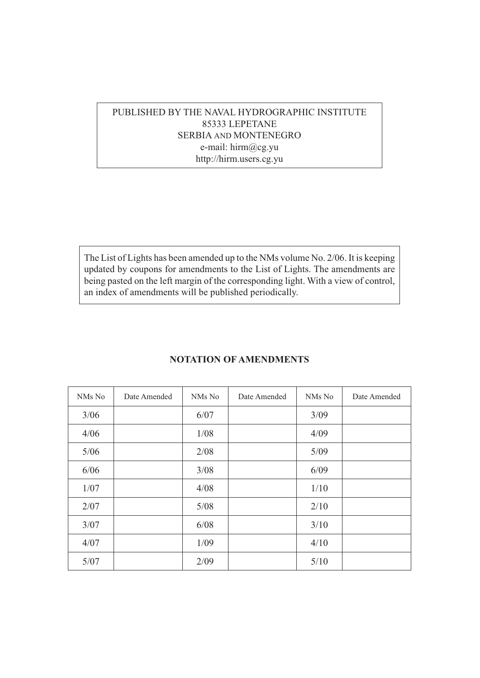## PUBLISHED BY THE NAVAL HYDROGRAPHIC INSTITUTE 85333 LEPETANE SERBIA AND MONTENEGRO e-mail: hirm@cg.yu http://hirm.users.cg.yu

The List of Lights has been amended up to the NMs volume No. 2/06. It is keeping updated by coupons for amendments to the List of Lights. The amendments are being pasted on the left margin of the corresponding light. With a view of control, an index of amendments will be published periodically.

| NMs No | Date Amended | NMs No | Date Amended | NMs No | Date Amended |
|--------|--------------|--------|--------------|--------|--------------|
| 3/06   |              | 6/07   |              | 3/09   |              |
| 4/06   |              | 1/08   |              | 4/09   |              |
| $5/06$ |              | 2/08   |              | 5/09   |              |
| 6/06   |              | 3/08   |              | 6/09   |              |
| 1/07   |              | 4/08   |              | 1/10   |              |
| 2/07   |              | 5/08   |              | 2/10   |              |
| 3/07   |              | 6/08   |              | 3/10   |              |
| 4/07   |              | 1/09   |              | 4/10   |              |
| 5/07   |              | 2/09   |              | 5/10   |              |

### **NOTATION OF AMENDMENTS**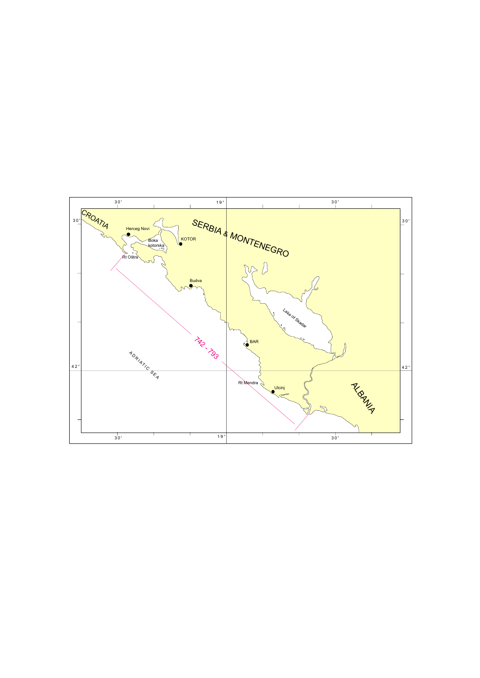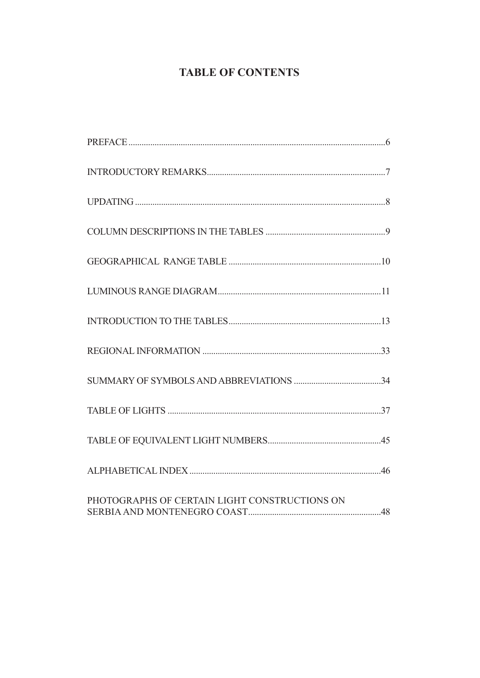## **TABLE OF CONTENTS**

| PHOTOGRAPHS OF CERTAIN LIGHT CONSTRUCTIONS ON |  |
|-----------------------------------------------|--|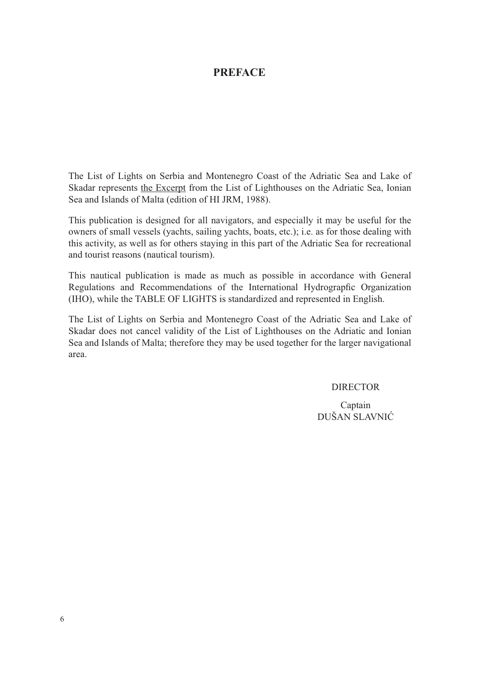## **PREFACE**

The List of Lights on Serbia and Montenegro Coast of the Adriatic Sea and Lake of Skadar represents the Excerpt from the List of Lighthouses on the Adriatic Sea, Ionian Sea and Islands of Malta (edition of HI JRM, 1988).

This publication is designed for all navigators, and especially it may be useful for the owners of small vessels (yachts, sailing yachts, boats, etc.); i.e. as for those dealing with this activity, as well as for others staying in this part of the Adriatic Sea for recreational and tourist reasons (nautical tourism).

This nautical publication is made as much as possible in accordance with General Regulations and Recommendations of the International Hydrograpfic Organization (IHO), while the TABLE OF LIGHTS is standardized and represented in English.

The List of Lights on Serbia and Montenegro Coast of the Adriatic Sea and Lake of Skadar does not cancel validity of the List of Lighthouses on the Adriatic and Ionian Sea and Islands of Malta; therefore they may be used together for the larger navigational area.

#### DIRECTOR

Captain DUŠAN SLAVNIĆ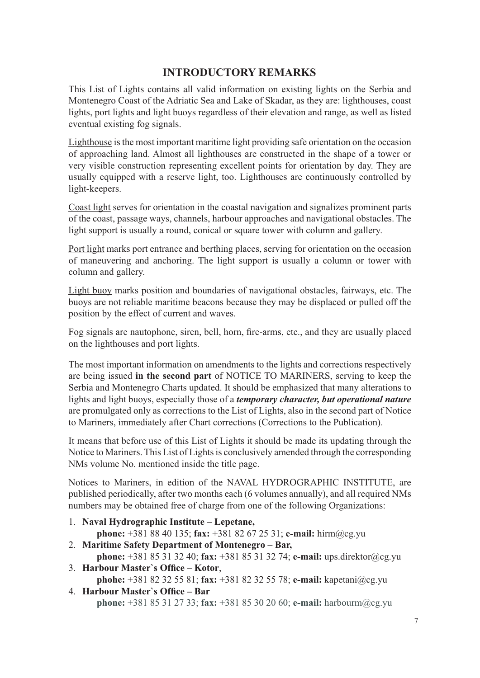## **INTRODUCTORY REMARKS**

This List of Lights contains all valid information on existing lights on the Serbia and Montenegro Coast of the Adriatic Sea and Lake of Skadar, as they are: lighthouses, coast lights, port lights and light buoys regardless of their elevation and range, as well as listed eventual existing fog signals.

Lighthouse is the most important maritime light providing safe orientation on the occasion of approaching land. Almost all lighthouses are constructed in the shape of a tower or very visible construction representing excellent points for orientation by day. They are usually equipped with a reserve light, too. Lighthouses are continuously controlled by light-keepers.

Coast light serves for orientation in the coastal navigation and signalizes prominent parts of the coast, passage ways, channels, harbour approaches and navigational obstacles. The light support is usually a round, conical or square tower with column and gallery.

Port light marks port entrance and berthing places, serving for orientation on the occasion of maneuvering and anchoring. The light support is usually a column or tower with column and gallery.

Light buoy marks position and boundaries of navigational obstacles, fairways, etc. The buoys are not reliable maritime beacons because they may be displaced or pulled off the position by the effect of current and waves.

Fog signals are nautophone, siren, bell, horn, fire-arms, etc., and they are usually placed on the lighthouses and port lights.

The most important information on amendments to the lights and corrections respectively are being issued **in the second part** of NOTICE TO MARINERS, serving to keep the Serbia and Montenegro Charts updated. It should be emphasized that many alterations to lights and light buoys, especially those of a *temporary character, but operational nature* are promulgated only as corrections to the List of Lights, also in the second part of Notice to Mariners, immediately after Chart corrections (Corrections to the Publication).

It means that before use of this List of Lights it should be made its updating through the Notice to Mariners. This List of Lights is conclusively amended through the corresponding NMs volume No. mentioned inside the title page.

Notices to Mariners, in edition of the NAVAL HYDROGRAPHIC INSTITUTE, are published periodically, after two months each (6 volumes annually), and all required NMs numbers may be obtained free of charge from one of the following Organizations:

1. **Naval Hydrographic Institute – Lepetane,** 

 **phone:** +381 88 40 135; **fax:** +381 82 67 25 31; **e-mail:** hirm@cg.yu

- 2. **Maritime Safety Department of Montenegro Bar,**
- **phone:** +381 85 31 32 40; **fax:** +381 85 31 32 74; **e-mail:** ups.direktor@cg.yu 3. **Harbour Master's Office – Kotor,**

 **phohe:** +381 82 32 55 81; **fax:** +381 82 32 55 78; **e-mail:** kapetani@cg.yu 4. **Harbour Master's Office – Bar** 

 **phone:** +381 85 31 27 33; **fax:** +381 85 30 20 60; **e-mail:** harbourm@cg.yu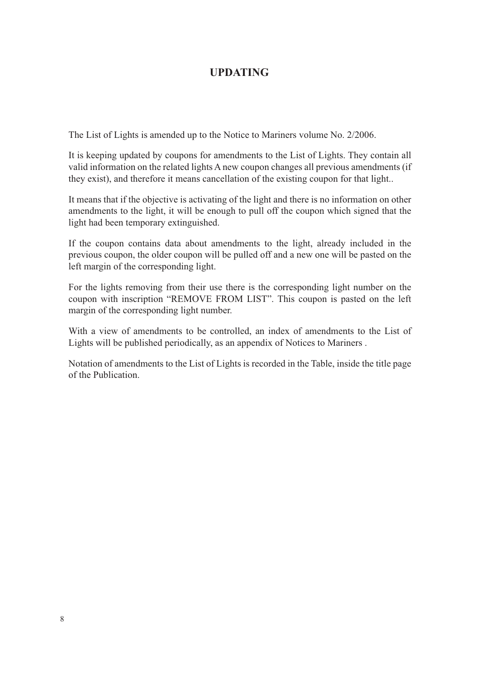## **UPDATING**

The List of Lights is amended up to the Notice to Mariners volume No. 2/2006.

It is keeping updated by coupons for amendments to the List of Lights. They contain all valid information on the related lights A new coupon changes all previous amendments (if they exist), and therefore it means cancellation of the existing coupon for that light..

It means that if the objective is activating of the light and there is no information on other amendments to the light, it will be enough to pull off the coupon which signed that the light had been temporary extinguished.

If the coupon contains data about amendments to the light, already included in the previous coupon, the older coupon will be pulled off and a new one will be pasted on the left margin of the corresponding light.

For the lights removing from their use there is the corresponding light number on the coupon with inscription "REMOVE FROM LIST". This coupon is pasted on the left margin of the corresponding light number.

With a view of amendments to be controlled, an index of amendments to the List of Lights will be published periodically, as an appendix of Notices to Mariners .

Notation of amendments to the List of Lights is recorded in the Table, inside the title page of the Publication.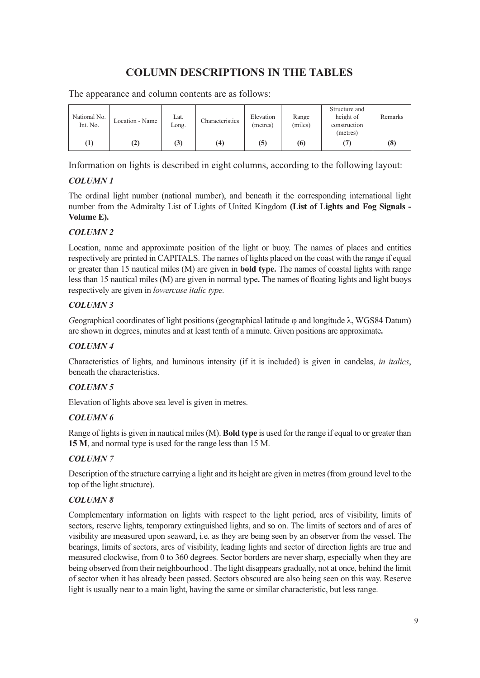## **COLUMN DESCRIPTIONS IN THE TABLES**

| National No.<br>Int. No. | Location - Name | Lat.<br>Long. | Characteristics | Elevation<br>(metres) | Range<br>(miles) | Structure and<br>height of<br>construction<br>(metres) | Remarks |
|--------------------------|-----------------|---------------|-----------------|-----------------------|------------------|--------------------------------------------------------|---------|
| $\scriptstyle{(1)}$      | $\bf(2)$        | (3)           | (4)             | (5)                   | (6)              |                                                        | (8      |

The appearance and column contents are as follows:

Information on lights is described in eight columns, according to the following layout:

### *COLUMN 1*

The ordinal light number (national number), and beneath it the corresponding international light number from the Admiralty List of Lights of United Kingdom **(List of Lights and Fog Signals - Volume E).**

#### *COLUMN 2*

Location, name and approximate position of the light or buoy. The names of places and entities respectively are printed in CAPITALS. The names of lights placed on the coast with the range if equal or greater than 15 nautical miles (M) are given in **bold type.** The names of coastal lights with range less than 15 nautical miles (M) are given in normal type. The names of floating lights and light buoys respectively are given in *lowercase italic type.*

#### *COLUMN 3*

*Geographical coordinates of light positions (geographical latitude φ and longitude λ, WGS84 Datum)* are shown in degrees, minutes and at least tenth of a minute. Given positions are approximate**.**

#### *COLUMN 4*

Characteristics of lights, and luminous intensity (if it is included) is given in candelas, *in italics*, beneath the characteristics.

#### *COLUMN 5*

Elevation of lights above sea level is given in metres.

#### *COLUMN 6*

Range of lights is given in nautical miles (M). **Bold type** is used for the range if equal to or greater than **15 M**, and normal type is used for the range less than 15 M.

#### *COLUMN 7*

Description of the structure carrying a light and its height are given in metres (from ground level to the top of the light structure).

#### *COLUMN 8*

Complementary information on lights with respect to the light period, arcs of visibility, limits of sectors, reserve lights, temporary extinguished lights, and so on. The limits of sectors and of arcs of visibility are measured upon seaward, i.e. as they are being seen by an observer from the vessel. The bearings, limits of sectors, arcs of visibility, leading lights and sector of direction lights are true and measured clockwise, from 0 to 360 degrees. Sector borders are never sharp, especially when they are being observed from their neighbourhood . The light disappears gradually, not at once, behind the limit of sector when it has already been passed. Sectors obscured are also being seen on this way. Reserve light is usually near to a main light, having the same or similar characteristic, but less range.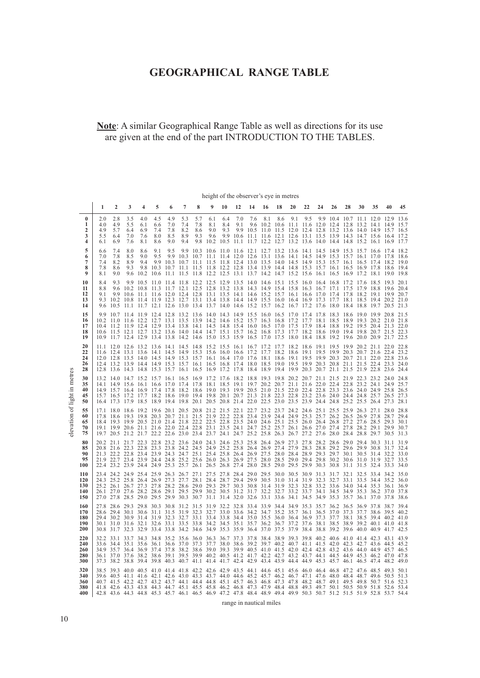## **GEOGRAPHICAL RANGE TABLE**

## **Note**: A similar Geographical Range Table as well as directions for its use are given at the end of the part INTRODUCTION TO THE TABLES.

 $\hat{\boldsymbol{\theta}}$ 

|                                 |                                 |                                                                                                                                                                                                                                                                                                                                                                                                                                                                                                                                                                                                            |                                 |                                 |                                 |                                                                                                                                                                                                                                                                                                                                                                                                                                                        |                                 |                                 |                                  |                           |            | height of the observer's eye in metres |     |     |     |     |    |    |                                                                                                                                                                                                                                                                                                 |    |    |      |                      |
|---------------------------------|---------------------------------|------------------------------------------------------------------------------------------------------------------------------------------------------------------------------------------------------------------------------------------------------------------------------------------------------------------------------------------------------------------------------------------------------------------------------------------------------------------------------------------------------------------------------------------------------------------------------------------------------------|---------------------------------|---------------------------------|---------------------------------|--------------------------------------------------------------------------------------------------------------------------------------------------------------------------------------------------------------------------------------------------------------------------------------------------------------------------------------------------------------------------------------------------------------------------------------------------------|---------------------------------|---------------------------------|----------------------------------|---------------------------|------------|----------------------------------------|-----|-----|-----|-----|----|----|-------------------------------------------------------------------------------------------------------------------------------------------------------------------------------------------------------------------------------------------------------------------------------------------------|----|----|------|----------------------|
|                                 | 1                               | $\mathbf{2}$                                                                                                                                                                                                                                                                                                                                                                                                                                                                                                                                                                                               | 3                               | 4                               | 5                               | 6                                                                                                                                                                                                                                                                                                                                                                                                                                                      | 7                               | 8                               | 9                                | 10                        | 12         | 14                                     | 16  | 18  | 20  | 22  | 24 | 26 | 28                                                                                                                                                                                                                                                                                              | 30 | 35 | 40   | 45                   |
| 0<br>1<br>2<br>3<br>4           | 2.0<br>4.0<br>4.9<br>5.5<br>6.1 | 2.8<br>4.9<br>5.7<br>6.4<br>6.9                                                                                                                                                                                                                                                                                                                                                                                                                                                                                                                                                                            | 3.5<br>5.5<br>6.4<br>7.0<br>7.6 | 4.0<br>6.1<br>6.9<br>7.6<br>8.1 | 4.5<br>6.6<br>7.4<br>8.0<br>8.6 | 4.9<br>7.0<br>7.8<br>8.5<br>9.0                                                                                                                                                                                                                                                                                                                                                                                                                        | 5.3<br>7.4<br>8.2<br>8.9<br>9.4 | 5.7<br>7.8<br>8.6<br>9.3<br>9.8 | 6.1<br>8.1<br>9.0<br>9.6<br>10.2 | 6.4<br>8.4<br>9.3<br>10.5 | 7.0<br>9.1 | 7.6                                    | 8.1 | 8.6 | 9.1 | 9.5 |    |    | 9.9 10.4 10.7 11.1 12.0<br>9.6 10.2 10.6 11.1 11.6 12.0 12.4 12.8 13.2 14.1 14.9 15.7<br>9.9 10.5 11.0 11.5 12.0 12.4 12.8 13.2 13.6 14.0 14.9 15.7 16.5<br>9.9 10.6 11.1 11.6 12.1 12.6 13.1 13.5 13.9 14.3 14.7 15.6 16.4 17.2<br>11.1 11.7 12.2 12.7 13.2 13.6 14.0 14.4 14.8 15.2 16.1 16.9 |    |    | 12.9 | 13.6<br>17.7         |
| 5<br>6<br>7<br>8<br>9           | 6.6<br>7.0<br>7.4<br>7.8<br>8.1 | 7.4<br>7.8<br>8.2<br>8.6<br>9.0                                                                                                                                                                                                                                                                                                                                                                                                                                                                                                                                                                            | 8.0<br>8.5<br>8.9<br>9.3        | 8.6<br>9.0<br>9.4               | 9.1<br>9.5                      | 9.5<br>9.9 10.3 10.7 11.1 11.5 11.8 12.4 13.0 13.5 14.0 14.5 14.9 15.3 15.7 16.1 16.5 17.4 18.2 19.0<br>9.8 10.3 10.7 11.1 11.5 11.8 12.2 12.8 13.4 13.9 14.4 14.8 15.3 15.7 16.1 16.5 16.9 17.8 18.6 19.4<br>9.6 10.2 10.6 11.1 11.5 11.8 12.2 12.5 13.1 13.7 14.2 14.7 15.2 15.6 16.1 16.5 16.9 17.2 18.1 19.0 19.8                                                                                                                                  |                                 |                                 |                                  |                           |            |                                        |     |     |     |     |    |    | 9.9 10.3 10.6 11.0 11.6 12.1 12.7 13.2 13.6 14.1 14.5 14.9 15.3 15.7 16.6 17.4 18.2<br>9.9 10.3 10.7 11.1 11.4 12.0 12.6 13.1 13.6 14.1 14.5 14.9 15.3 15.7 16.1 17.0 17.8 18.6                                                                                                                 |    |    |      |                      |
| 10<br>11<br>12<br>13<br>14      | 8.4<br>8.8<br>9.1               | 9.3<br>9.3 10.2 10.8 11.4 11.9 12.3 12.7 13.1 13.4 13.8 14.4 14.9 15.5 16.0 16.4 16.9 17.3 17.7 18.1 18.5 19.4 20.2 21.0<br>9.6 10.5 11.1 11.7 12.1 12.6 13.0 13.4 13.7 14.0 14.6 15.2 15.7 16.2 16.7 17.2 17.6 18.0 18.4 18.8 19.7 20.5 21.3                                                                                                                                                                                                                                                                                                                                                              |                                 |                                 |                                 | 9.9 10.5 11.0 11.4 11.8 12.2 12.5 12.9 13.5 14.0 14.6 15.1 15.5 16.0 16.4 16.8 17.2 17.6 18.5 19.3 20.1<br>9.6 10.2 10.8 11.3 11.7 12.1 12.5 12.8 13.2 13.8 14.3 14.9 15.4 15.8 16.3 16.7 17.1 17.5 17.9 18.8 19.6 20.4<br>9.9 10.6 11.1 11.6 12.0 12.4 12.8 13.1 13.5 14.1 14.6 15.2 15.7 16.1 16.6 17.0 17.4 17.8 18.2 19.1 19.9 20.7                                                                                                                |                                 |                                 |                                  |                           |            |                                        |     |     |     |     |    |    |                                                                                                                                                                                                                                                                                                 |    |    |      |                      |
| 15<br>16<br>17<br>18<br>19      | 9.9                             | 10.7 11.4 11.9 12.4 12.8 13.2 13.6 14.0 14.3 14.9 15.5 16.0 16.5 17.0 17.4 17.8 18.3 18.6 19.0 19.9 20.8 21.5<br>10.2 11.0 11.6 12.2 12.7 13.1 13.5 13.9 14.2 14.6 15.2 15.7 16.3 16.8 17.2 17.7 18.1 18.5 18.9 19.3 20.2 21.0 21.8<br>10.4 11.2 11.9 12.4 12.9 13.4 13.8 14.1 14.5 14.8 15.4 16.0 16.5 17.0 17.5 17.9 18.4 18.8 19.2 19.5 20.4 21.3 22.0<br>10.6 11.5 12.1 12.7 13.2 13.6 14.0 14.4 14.7 15.1 15.7 16.2 16.8 17.3 17.7 18.2 18.6 19.0 19.4 19.8 20.7 21.5 22.3<br>10.9 11.7 12.4 12.9 13.4 13.8 14.2 14.6 15.0 15.3 15.9 16.5 17.0 17.5 18.0 18.4 18.8 19.2 19.6 20.0 20.9 21.7 22.5      |                                 |                                 |                                 |                                                                                                                                                                                                                                                                                                                                                                                                                                                        |                                 |                                 |                                  |                           |            |                                        |     |     |     |     |    |    |                                                                                                                                                                                                                                                                                                 |    |    |      |                      |
| 20<br>22<br>24<br>26<br>28      |                                 | 11.1 12.0 12.6 13.2 13.6 14.1 14.5 14.8 15.2 15.5 16.1 16.7 17.2 17.7 18.2 18.6 19.1 19.5 19.9 20.2 21.1 22.0 22.8<br>11.6 12.4 13.1 13.6 14.1 14.5 14.9 15.3 15.6 16.0 16.6 17.2 17.7 18.2 18.6 19.1 19.5 19.9 20.3 20.7 21.6 22.4 23.2<br>12.0 12.8 13.5 14.0 14.5 14.9 15.3 15.7 16.1 16.4 17.0 17.6 18.1 18.6 19.1 19.5 19.9 20.3 20.7 21.1 22.0 22.8 23.6<br>12.4 13.2 13.9 14.4 14.9 15.3 15.7 16.1 16.5 16.8 17.4 18.0 18.5 19.0 19.5 19.9 20.3 20.8 21.1 21.5 22.4 23.3 24.0<br>12.8 13.6 14.3 14.8 15.3 15.7 16.1 16.5 16.9 17.2 17.8 18.4 18.9 19.4 19.9 20.3 20.7 21.1 21.5 21.9 22.8 23.6 24.4 |                                 |                                 |                                 |                                                                                                                                                                                                                                                                                                                                                                                                                                                        |                                 |                                 |                                  |                           |            |                                        |     |     |     |     |    |    |                                                                                                                                                                                                                                                                                                 |    |    |      |                      |
| 30<br>35<br>40<br>45<br>50      |                                 | 13.2 14.0 14.7 15.2 15.7 16.1 16.5 16.9 17.2 17.6 18.2 18.8 19.3 19.8 20.2 20.7 21.1 21.5 21.9 22.3 23.2 24.0 24.8<br>14.1 14.9 15.6 16.1 16.6 17.0 17.4 17.8 18.1 18.5 19.1 19.7 20.2 20.7 21.1 21.6 22.0 22.4 22.8 23.2 24.1 24.9 25.7<br>14.9 15.7 16.4 16.9 17.4 17.8 18.2 18.6 19.0 19.3 19.9 20.5 21.0 21.5 22.0 22.4 22.8 23.3 23.6 24.0 24.9 25.8 26.5<br>15.7 16.5 17.2 17.7 18.2 18.6 19.0 19.4 19.8 20.1 20.7 21.3 21.8 22.3 22.8 23.2 23.6 24.0 24.4 24.8 25.7 26.5 27.3<br>16.4 17.3 17.9 18.5 18.9 19.4 19.8 20.1 20.5 20.8 21.4 22.0 22.5 23.0 23.5 23.9 24.4 24.8 25.2 25.5 26.4 27.3 28.1 |                                 |                                 |                                 |                                                                                                                                                                                                                                                                                                                                                                                                                                                        |                                 |                                 |                                  |                           |            |                                        |     |     |     |     |    |    |                                                                                                                                                                                                                                                                                                 |    |    |      |                      |
| 55<br>60<br>65<br>70<br>75      |                                 | 17.1 18.0 18.6 19.2 19.6 20.1 20.5 20.8 21.2 21.5 22.1 22.7 23.2 23.7 24.2 24.6 25.1 25.5 25.9 26.3 27.1 28.0<br>17.8 18.6 19.3 19.8 20.3 20.7 21.1 21.5 21.9 22.2 22.8 23.4 23.9 24.4 24.9 25.3 25.7 26.2 26.5 26.9 27.8 28.7<br>18.4 19.3 19.9 20.5 21.0 21.4 21.8 22.2 22.5 22.8 23.5 24.0 24.6 25.1 25.5 26.0 26.4 26.8 27.2 27.6 28.5 29.3<br>19.1 19.9 20.6 21.1 21.6 22.0 22.4 22.8 23.1 23.5 24.1 24.7 25.2 25.7 26.1 26.6 27.0 27.4 27.8 28.2 29.1 29.9 30.7<br>19.7 20.5 21.2 21.7 22.2 22.6 23.0 23.4 23.7 24.1 24.7 25.2 25.8 26.3 26.7 27.2 27.6 28.0 28.4 28.8 29.7 30.5 31.3                |                                 |                                 |                                 |                                                                                                                                                                                                                                                                                                                                                                                                                                                        |                                 |                                 |                                  |                           |            |                                        |     |     |     |     |    |    |                                                                                                                                                                                                                                                                                                 |    |    |      | 28.8<br>29.4<br>30.1 |
| 80<br>85<br>90<br>95<br>100     |                                 | 20.2 21.1 21.7 22.3 22.8 23.2 23.6 24.0 24.3 24.6 25.3 25.8 26.4 26.9 27.3 27.8 28.2 28.6 29.0 29.4 30.3 31.1<br>20.8 21.6 22.3 22.8 23.3 23.8 24.2 24.5 24.9 25.2 25.8 26.4 26.9 27.4 27.9 28.3 28.8 29.2 29.6 29.9 30.8 31.7<br>21.3 22.2 22.8 23.4 23.9 24.3 24.7 25.1 25.4 25.8 26.4 26.9 27.5 28.0 28.4 28.9 29.3 29.7 30.1 30.5 31.4 32.2 33.0<br>21.9 22.7 23.4 23.9 24.4 24.8 25.2 25.6 26.0 26.3 26.9 27.5 28.0 28.5 29.0 29.4 29.8 30.2 30.6 31.0 31.9 32.7<br>22.4 23.2 23.9 24.4 24.9 25.3 25.7 26.1 26.5 26.8 27.4 28.0 28.5 29.0 29.5 29.9 30.3 30.8 31.1 31.5 32.4 33.3 34.0                |                                 |                                 |                                 |                                                                                                                                                                                                                                                                                                                                                                                                                                                        |                                 |                                 |                                  |                           |            |                                        |     |     |     |     |    |    |                                                                                                                                                                                                                                                                                                 |    |    |      | 31.9<br>32.4<br>33.5 |
| 110<br>120<br>130<br>140<br>150 |                                 | 23.4 24.2 24.9 25.4 25.9 26.3 26.7 27.1 27.5 27.8 28.4 29.0 29.5 30.0 30.5 30.9 31.3 31.7 32.1 32.5 33.4 34.2 35.0<br>24.3 25.2 25.8 26.4 26.9 27.3 27.7 28.1 28.4 28.7 29.4 29.9 30.5 31.0 31.4 31.9 32.3 32.7 33.1 33.5 34.4 35.2 36.0<br>25.2 26.1 26.7 27.3 27.8 28.2 28.6 29.0 29.3 29.7 30.3 30.8 31.4 31.9 32.3 32.8 33.2 33.6 34.0 34.4 35.3 36.1 36.9<br>26.1 27.0 27.6 28.2 28.6 29.1 29.5 29.9 30.2 30.5 31.2 31.7 32.2 32.7 33.2 33.7 34.1 34.5 34.9 35.3 36.2 37.0 37.8<br>27.0 27.8 28.5 29.0 29.5 29.9 30.3 30.7 31.1 31.4 32.0 32.6 33.1 33.6 34.1 34.5 34.9 35.3 35.7 36.1 37.0 37.8 38.6 |                                 |                                 |                                 |                                                                                                                                                                                                                                                                                                                                                                                                                                                        |                                 |                                 |                                  |                           |            |                                        |     |     |     |     |    |    |                                                                                                                                                                                                                                                                                                 |    |    |      |                      |
| 160<br>170<br>180<br>190<br>200 |                                 | 27.8 28.6 29.3 29.8 30.3 30.8 31.2 31.5 31.9 32.2 32.8 33.4 33.9 34.4 34.9 35.3 35.7 36.2 36.5 36.9 37.8 38.7 39.4<br>28.6 29.4 30.1 30.6 31.1 31.5 31.9 32.3 32.7 33.0 33.6 34.2 34.7 35.2 35.7 36.1 36.5 37.0 37.3 37.7 38.6 39.5 40.2<br>29.4 30.2 30.9 31.4 31.9 32.3 32.7 33.1 33.4 33.8 34.4 35.0 35.5 36.0 36.4 36.9 37.3 37.7 38.1 38.5 39.4 40.2 41.0<br>30.1 31.0 31.6 32.1 32.6 33.1 33.5 33.8 34.2 34.5 35.1 35.7 36.2 36.7 37.2 37.6 38.1 38.5 38.9 39.2 40.1 41.0 41.8<br>30.8 31.7 32.3 32.9 33.4 33.8 34.2 34.6 34.9 35.3 35.9 36.4 37.0 37.5 37.9 38.4 38.8 39.2 39.6 40.0 40.9 41.7 42.5 |                                 |                                 |                                 |                                                                                                                                                                                                                                                                                                                                                                                                                                                        |                                 |                                 |                                  |                           |            |                                        |     |     |     |     |    |    |                                                                                                                                                                                                                                                                                                 |    |    |      |                      |
| 220<br>240<br>260<br>280<br>300 | 32.2<br>33.6<br>34.9<br>36.1    | 35.7<br>37.0<br>37.3 38.2 38.8 39.4 39.8 40.3 40.7 41.1 41.4 41.7 42.4 42.9 43.4 43.9 44.4 44.9 45.3 45.7 46.1 46.5 47.4 48.2 49.0                                                                                                                                                                                                                                                                                                                                                                                                                                                                         |                                 |                                 |                                 | 33.1 33.7 34.3 34.8 35.2 35.6 36.0 36.3 36.7 37.3 37.8 38.4 38.9 39.3 39.8 40.2 40.6 41.0 41.4 42.3 43.1 43.9<br>34.4 35.1 35.6 36.1 36.6 37.0 37.3 37.7 38.0 38.6 39.2 39.7 40.2 40.7 41.1 41.5 42.0 42.3 42.7 43.6 44.5 45.2<br>36.4 36.9 37.4 37.8 38.2 38.6 39.0 39.3 39.9 40.5 41.0 41.5 42.0 42.4 42.8 43.2 43.6 44.0 44.9 45.7 46.5<br>37.6 38.2 38.6 39.1 39.5 39.9 40.2 40.5 41.2 41.7 42.2 42.7 43.2 43.7 44.1 44.5 44.9 45.3 46.2 47.0 47.8 |                                 |                                 |                                  |                           |            |                                        |     |     |     |     |    |    |                                                                                                                                                                                                                                                                                                 |    |    |      |                      |
| 320<br>340<br>360<br>380<br>400 |                                 | 38.5 39.3 40.0 40.5 41.0 41.4 41.8 42.2 42.6 42.9 43.5 44.1 44.6 45.1 45.6 46.0 46.4 46.8 47.2 47.6 48.5 49.3 50.1<br>39.6 40.5 41.1 41.6 42.1 42.6 43.0 43.3 43.7 44.0 44.6 45.2 45.7 46.2 46.7 47.1 47.6 48.0 48.4 48.7 49.6 50.5 51.3<br>40.7 41.5 42.2 42.7 43.2 43.7 44.1 44.4 44.8 45.1 45.7 46.3 46.8 47.3 47.8 48.2 48.7 49.1 49.5 49.8 50.7 51.6 52.3<br>41.8 42.6 43.3 43.8 44.3 44.7 45.1 45.5 45.8 46.2 46.8 47.3 47.9 48.4 48.8 49.3 49.7 50.1 50.5 50.9 51.8 52.6 53.4<br>42.8 43.6 44.3 44.8 45.3 45.7 46.1 46.5 46.9 47.2 47.8 48.4 48.9 49.4 49.9 50.3 50.7 51.2 51.5 51.9 52.8 53.7 54.4 |                                 |                                 |                                 |                                                                                                                                                                                                                                                                                                                                                                                                                                                        |                                 |                                 |                                  |                           |            |                                        |     |     |     |     |    |    |                                                                                                                                                                                                                                                                                                 |    |    |      |                      |

range in nautical miles

elevation of light in metres

elevation of light in metres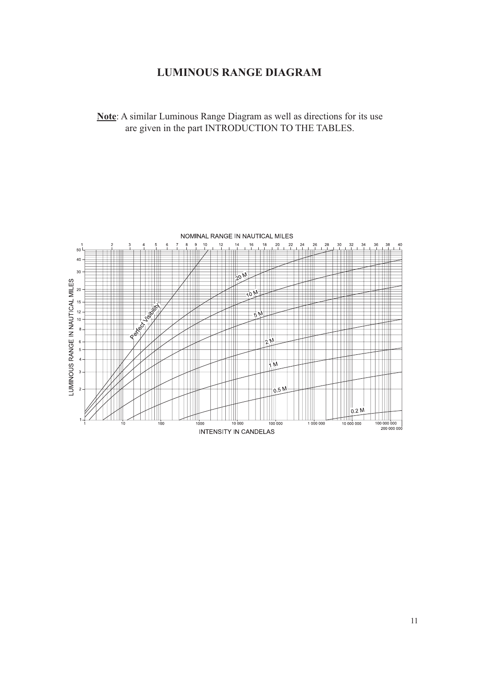## **LUMINOUS RANGE DIAGRAM**

**Note**: A similar Luminous Range Diagram as well as directions for its use are given in the part INTRODUCTION TO THE TABLES.

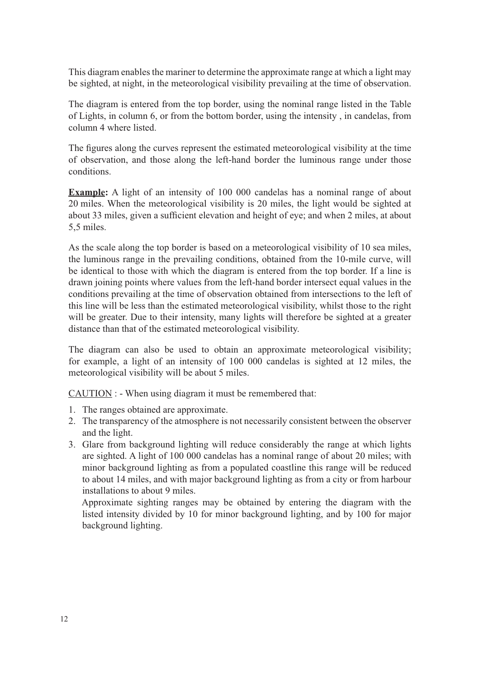This diagram enables the mariner to determine the approximate range at which a light may be sighted, at night, in the meteorological visibility prevailing at the time of observation.

The diagram is entered from the top border, using the nominal range listed in the Table of Lights, in column 6, or from the bottom border, using the intensity , in candelas, from column 4 where listed.

The figures along the curves represent the estimated meteorological visibility at the time of observation, and those along the left-hand border the luminous range under those conditions.

**Example:** A light of an intensity of 100 000 candelas has a nominal range of about 20 miles. When the meteorological visibility is 20 miles, the light would be sighted at about 33 miles, given a sufficient elevation and height of eye; and when 2 miles, at about 5,5 miles.

As the scale along the top border is based on a meteorological visibility of 10 sea miles, the luminous range in the prevailing conditions, obtained from the 10-mile curve, will be identical to those with which the diagram is entered from the top border. If a line is drawn joining points where values from the left-hand border intersect equal values in the conditions prevailing at the time of observation obtained from intersections to the left of this line will be less than the estimated meteorological visibility, whilst those to the right will be greater. Due to their intensity, many lights will therefore be sighted at a greater distance than that of the estimated meteorological visibility.

The diagram can also be used to obtain an approximate meteorological visibility; for example, a light of an intensity of 100 000 candelas is sighted at 12 miles, the meteorological visibility will be about 5 miles.

CAUTION : - When using diagram it must be remembered that:

- 1. The ranges obtained are approximate.
- 2. The transparency of the atmosphere is not necessarily consistent between the observer and the light.
- 3. Glare from background lighting will reduce considerably the range at which lights are sighted. A light of 100 000 candelas has a nominal range of about 20 miles; with minor background lighting as from a populated coastline this range will be reduced to about 14 miles, and with major background lighting as from a city or from harbour installations to about 9 miles.

 Approximate sighting ranges may be obtained by entering the diagram with the listed intensity divided by 10 for minor background lighting, and by 100 for major background lighting.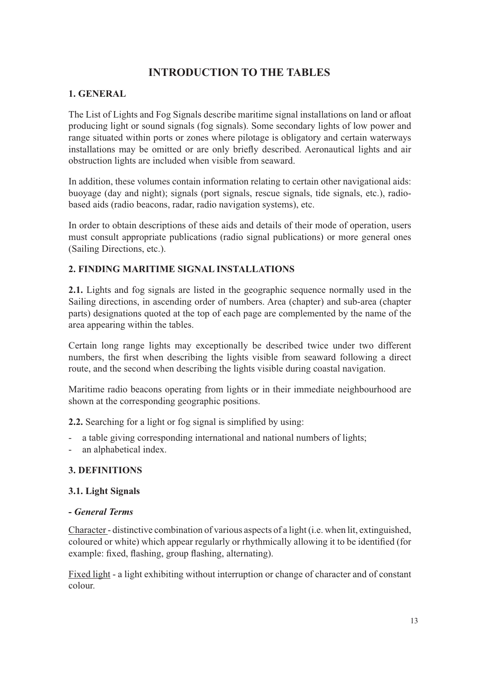## **INTRODUCTION TO THE TABLES**

## **1. GENERAL**

The List of Lights and Fog Signals describe maritime signal installations on land or afloat producing light or sound signals (fog signals). Some secondary lights of low power and range situated within ports or zones where pilotage is obligatory and certain waterways installations may be omitted or are only briefly described. Aeronautical lights and air obstruction lights are included when visible from seaward.

In addition, these volumes contain information relating to certain other navigational aids: buoyage (day and night); signals (port signals, rescue signals, tide signals, etc.), radiobased aids (radio beacons, radar, radio navigation systems), etc.

In order to obtain descriptions of these aids and details of their mode of operation, users must consult appropriate publications (radio signal publications) or more general ones (Sailing Directions, etc.).

## **2. FINDING MARITIME SIGNAL INSTALLATIONS**

**2.1.** Lights and fog signals are listed in the geographic sequence normally used in the Sailing directions, in ascending order of numbers. Area (chapter) and sub-area (chapter parts) designations quoted at the top of each page are complemented by the name of the area appearing within the tables.

Certain long range lights may exceptionally be described twice under two different numbers, the first when describing the lights visible from seaward following a direct route, and the second when describing the lights visible during coastal navigation.

Maritime radio beacons operating from lights or in their immediate neighbourhood are shown at the corresponding geographic positions.

**2.2.** Searching for a light or fog signal is simplified by using:

- a table giving corresponding international and national numbers of lights;
- an alphabetical index.

### **3. DEFINITIONS**

### **3.1. Light Signals**

#### **-** *General Terms*

Character - distinctive combination of various aspects of a light (i.e. when lit, extinguished, coloured or white) which appear regularly or rhythmically allowing it to be identified (for example: fixed, flashing, group flashing, alternating).

Fixed light - a light exhibiting without interruption or change of character and of constant colour.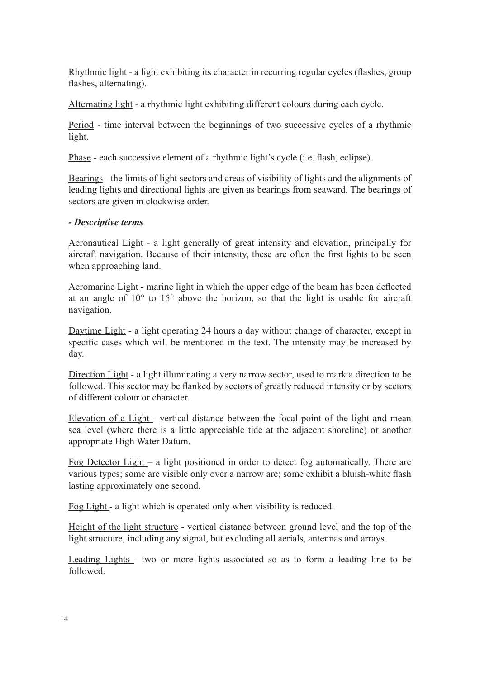Rhythmic light - a light exhibiting its character in recurring regular cycles (flashes, group flashes, alternating).

Alternating light - a rhythmic light exhibiting different colours during each cycle.

Period - time interval between the beginnings of two successive cycles of a rhythmic light.

Phase - each successive element of a rhythmic light's cycle (i.e. flash, eclipse).

Bearings - the limits of light sectors and areas of visibility of lights and the alignments of leading lights and directional lights are given as bearings from seaward. The bearings of sectors are given in clockwise order.

#### *- Descriptive terms*

Aeronautical Light - a light generally of great intensity and elevation, principally for aircraft navigation. Because of their intensity, these are often the first lights to be seen when approaching land.

Aeromarine Light - marine light in which the upper edge of the beam has been deflected at an angle of  $10^{\circ}$  to  $15^{\circ}$  above the horizon, so that the light is usable for aircraft navigation.

Daytime Light - a light operating 24 hours a day without change of character, except in specific cases which will be mentioned in the text. The intensity may be increased by day.

Direction Light - a light illuminating a very narrow sector, used to mark a direction to be followed. This sector may be flanked by sectors of greatly reduced intensity or by sectors of different colour or character.

Elevation of a Light - vertical distance between the focal point of the light and mean sea level (where there is a little appreciable tide at the adjacent shoreline) or another appropriate High Water Datum.

Fog Detector Light – a light positioned in order to detect fog automatically. There are various types; some are visible only over a narrow arc; some exhibit a bluish-white flash lasting approximately one second.

Fog Light - a light which is operated only when visibility is reduced.

Height of the light structure - vertical distance between ground level and the top of the light structure, including any signal, but excluding all aerials, antennas and arrays.

Leading Lights - two or more lights associated so as to form a leading line to be followed.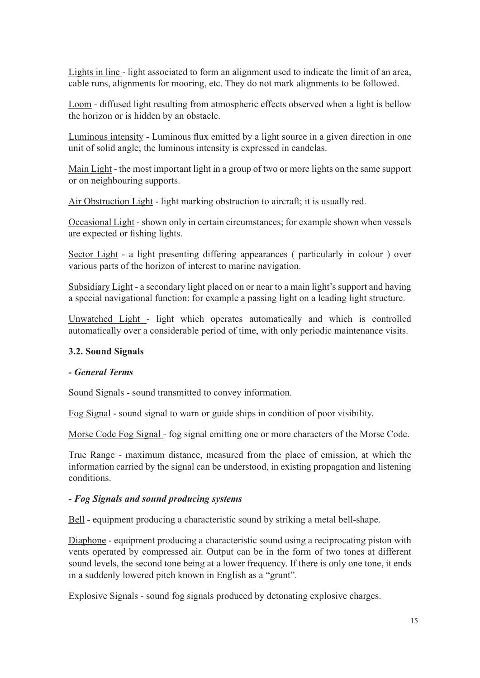Lights in line - light associated to form an alignment used to indicate the limit of an area, cable runs, alignments for mooring, etc. They do not mark alignments to be followed.

Loom - diffused light resulting from atmospheric effects observed when a light is bellow the horizon or is hidden by an obstacle.

Luminous intensity - Luminous flux emitted by a light source in a given direction in one unit of solid angle; the luminous intensity is expressed in candelas.

Main Light - the most important light in a group of two or more lights on the same support or on neighbouring supports.

Air Obstruction Light - light marking obstruction to aircraft; it is usually red.

Occasional Light - shown only in certain circumstances; for example shown when vessels are expected or fishing lights.

Sector Light - a light presenting differing appearances (particularly in colour) over various parts of the horizon of interest to marine navigation.

Subsidiary Light - a secondary light placed on or near to a main light's support and having a special navigational function: for example a passing light on a leading light structure.

Unwatched Light - light which operates automatically and which is controlled automatically over a considerable period of time, with only periodic maintenance visits.

### **3.2. Sound Signals**

#### *- General Terms*

Sound Signals - sound transmitted to convey information.

Fog Signal - sound signal to warn or guide ships in condition of poor visibility.

Morse Code Fog Signal - fog signal emitting one or more characters of the Morse Code.

True Range - maximum distance, measured from the place of emission, at which the information carried by the signal can be understood, in existing propagation and listening conditions.

#### *- Fog Signals and sound producing systems*

Bell - equipment producing a characteristic sound by striking a metal bell-shape.

Diaphone - equipment producing a characteristic sound using a reciprocating piston with vents operated by compressed air. Output can be in the form of two tones at different sound levels, the second tone being at a lower frequency. If there is only one tone, it ends in a suddenly lowered pitch known in English as a "grunt".

Explosive Signals - sound fog signals produced by detonating explosive charges.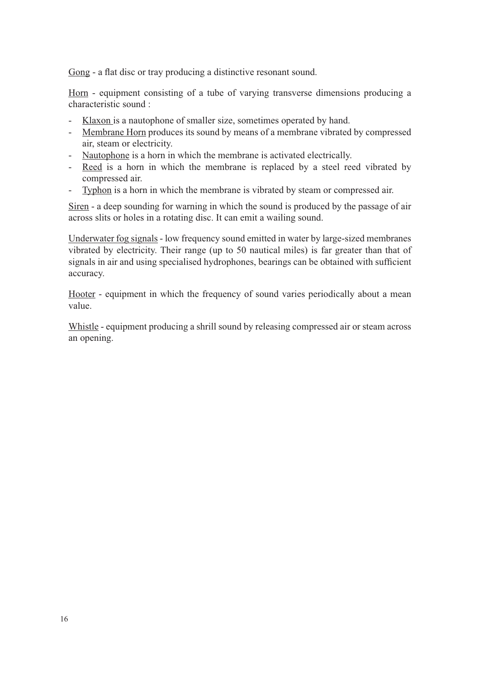Gong - a flat disc or tray producing a distinctive resonant sound.

Horn - equipment consisting of a tube of varying transverse dimensions producing a characteristic sound :

- Klaxon is a nautophone of smaller size, sometimes operated by hand.
- Membrane Horn produces its sound by means of a membrane vibrated by compressed air, steam or electricity.
- Nautophone is a horn in which the membrane is activated electrically.
- Reed is a horn in which the membrane is replaced by a steel reed vibrated by compressed air.
- Typhon is a horn in which the membrane is vibrated by steam or compressed air.

Siren - a deep sounding for warning in which the sound is produced by the passage of air across slits or holes in a rotating disc. It can emit a wailing sound.

Underwater fog signals - low frequency sound emitted in water by large-sized membranes vibrated by electricity. Their range (up to 50 nautical miles) is far greater than that of signals in air and using specialised hydrophones, bearings can be obtained with sufficient accuracy.

Hooter - equipment in which the frequency of sound varies periodically about a mean value.

Whistle - equipment producing a shrill sound by releasing compressed air or steam across an opening.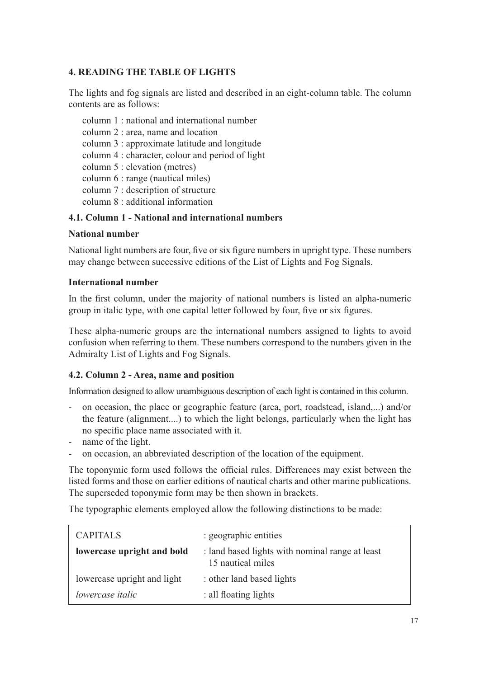## **4. READING THE TABLE OF LIGHTS**

The lights and fog signals are listed and described in an eight-column table. The column contents are as follows:

 column 1 : national and international number column 2 : area, name and location column 3 : approximate latitude and longitude column 4 : character, colour and period of light column 5 : elevation (metres) column 6 : range (nautical miles) column 7 : description of structure column 8 : additional information

### **4.1. Column 1 - National and international numbers**

#### **National number**

National light numbers are four, five or six figure numbers in upright type. These numbers may change between successive editions of the List of Lights and Fog Signals.

#### **International number**

In the first column, under the majority of national numbers is listed an alpha-numeric group in italic type, with one capital letter followed by four, five or six figures.

These alpha-numeric groups are the international numbers assigned to lights to avoid confusion when referring to them. These numbers correspond to the numbers given in the Admiralty List of Lights and Fog Signals.

### **4.2. Column 2 - Area, name and position**

Information designed to allow unambiguous description of each light is contained in this column.

- on occasion, the place or geographic feature (area, port, roadstead, island,...) and/or the feature (alignment....) to which the light belongs, particularly when the light has no specific place name associated with it.
- name of the light.
- on occasion, an abbreviated description of the location of the equipment.

The toponymic form used follows the official rules. Differences may exist between the listed forms and those on earlier editions of nautical charts and other marine publications. The superseded toponymic form may be then shown in brackets.

The typographic elements employed allow the following distinctions to be made:

| <b>CAPITALS</b>             | : geographic entities                                                |
|-----------------------------|----------------------------------------------------------------------|
| lowercase upright and bold  | : land based lights with nominal range at least<br>15 nautical miles |
| lowercase upright and light | : other land based lights                                            |
| <i>lowercase italic</i>     | : all floating lights                                                |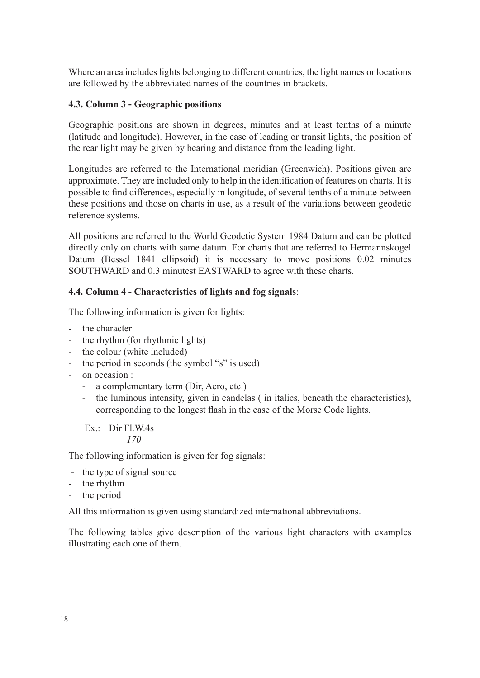Where an area includes lights belonging to different countries, the light names or locations are followed by the abbreviated names of the countries in brackets.

## **4.3. Column 3 - Geographic positions**

Geographic positions are shown in degrees, minutes and at least tenths of a minute (latitude and longitude). However, in the case of leading or transit lights, the position of the rear light may be given by bearing and distance from the leading light.

Longitudes are referred to the International meridian (Greenwich). Positions given are approximate. They are included only to help in the identification of features on charts. It is possible to find differences, especially in longitude, of several tenths of a minute between these positions and those on charts in use, as a result of the variations between geodetic reference systems.

All positions are referred to the World Geodetic System 1984 Datum and can be plotted directly only on charts with same datum. For charts that are referred to Hermannskögel Datum (Bessel 1841 ellipsoid) it is necessary to move positions 0.02 minutes SOUTHWARD and 0.3 minutest EASTWARD to agree with these charts.

### **4.4. Column 4 - Characteristics of lights and fog signals**:

The following information is given for lights:

- the character
- the rhythm (for rhythmic lights)
- the colour (white included)
- the period in seconds (the symbol "s" is used)
- on occasion :
	- a complementary term (Dir, Aero, etc.)
	- the luminous intensity, given in candelas (in italics, beneath the characteristics), corresponding to the longest flash in the case of the Morse Code lights.

Ex.: Dir Fl.W.4s *170*

The following information is given for fog signals:

- the type of signal source
- the rhythm
- the period

All this information is given using standardized international abbreviations.

The following tables give description of the various light characters with examples illustrating each one of them.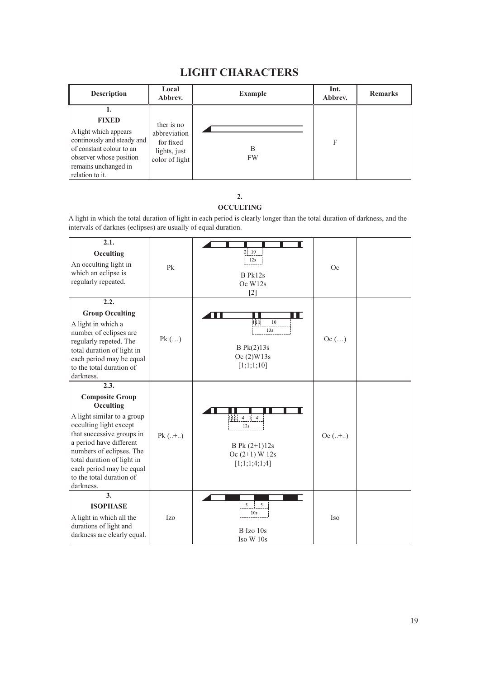## **LIGHT CHARACTERS**

| <b>Description</b>                                                                                                                                                          | Local<br>Abbrev.                                                          | <b>Example</b> | Int.<br>Abbrev. | <b>Remarks</b> |
|-----------------------------------------------------------------------------------------------------------------------------------------------------------------------------|---------------------------------------------------------------------------|----------------|-----------------|----------------|
| 1.<br><b>FIXED</b><br>A light which appears<br>continually and steady and<br>of constant colour to an<br>observer whose position<br>remains unchanged in<br>relation to it. | ther is no<br>abbreviation<br>for fixed<br>lights, just<br>color of light | В<br><b>FW</b> | F               |                |

#### **2. OCCULTING**

A light in which the total duration of light in each period is clearly longer than the total duration of darkness, and the intervals of darknes (eclipses) are usually of equal duration.

| 2.1.<br>Occulting<br>An occulting light in<br>which an eclipse is<br>regularly repeated.                                                                                                                                                                                                   | Pk        | $\overline{2}$<br>10<br>12s<br>B Pk12s<br>Oc W12s<br>$[2]$                               | Oc        |  |
|--------------------------------------------------------------------------------------------------------------------------------------------------------------------------------------------------------------------------------------------------------------------------------------------|-----------|------------------------------------------------------------------------------------------|-----------|--|
| 2.2.<br><b>Group Occulting</b><br>A light in which a<br>number of eclipses are<br>regularly repeted. The<br>total duration of light in<br>each period may be equal<br>to the total duration of<br>darkness.                                                                                | $Pk$ $()$ | ПГ<br>10<br>111<br>13s<br>$B$ Pk $(2)$ 13s<br>Oc(2)W13s<br>[1;1;1;10]                    | Oc $()$   |  |
| 2.3.<br><b>Composite Group</b><br>Occulting<br>A light similar to a group<br>occulting light except<br>that successive groups in<br>a period have different<br>numbers of eclipses. The<br>total duration of light in<br>each period may be equal<br>to the total duration of<br>darkness. | $Pk$ (+)  | $4 \quad 1 \quad 4$<br>111<br>12s<br>B Pk $(2+1)12s$<br>$Oc(2+1)$ W 12s<br>[1;1;1;4;1;4] | $Oc(.+.)$ |  |
| $\overline{3}$ .<br><b>ISOPHASE</b><br>A light in which all the<br>durations of light and<br>darkness are clearly equal.                                                                                                                                                                   | Izo       | 5<br>5<br>10 <sub>s</sub><br>B Izo 10s<br>Iso W 10s                                      | Iso       |  |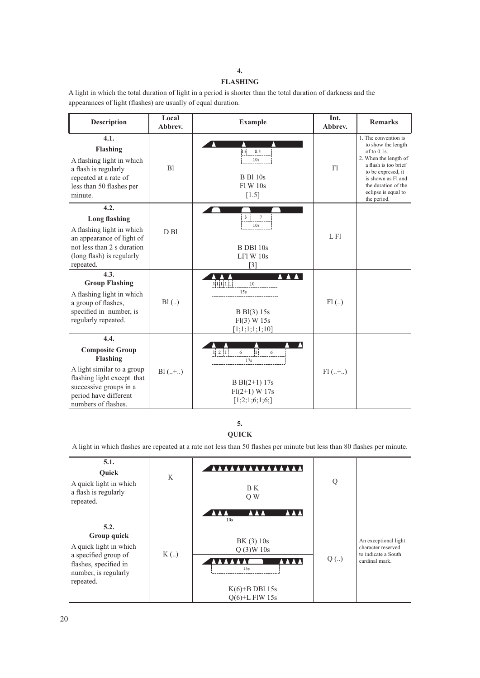#### **4. FLASHING**

A light in which the total duration of light in a period is shorter than the total duration of darkness and the appearances of light (flashes) are usually of equal duration.

| <b>Description</b>                                                                                                                                                               | Local<br>Abbrev. | <b>Example</b>                                                                                                 | Int.<br>Abbrev. | <b>Remarks</b>                                                                                                                                                                                                      |
|----------------------------------------------------------------------------------------------------------------------------------------------------------------------------------|------------------|----------------------------------------------------------------------------------------------------------------|-----------------|---------------------------------------------------------------------------------------------------------------------------------------------------------------------------------------------------------------------|
| 4.1.<br><b>Flashing</b><br>A flashing light in which<br>a flash is regularly<br>repeated at a rate of<br>less than 50 flashes per<br>minute.                                     | B1               | 1.5 <sup>2</sup><br>8.5<br>10s<br><b>B</b> Bl 10s<br>F1 W 10s<br>$[1.5]$                                       | F1              | 1. The convention is<br>to show the length<br>of to 0.1s.<br>2. When the length of<br>a flash is too brief<br>to be expresed, it<br>is shown as Fl and<br>the duration of the<br>eclipse is equal to<br>the period. |
| 4.2.<br><b>Long flashing</b><br>A flashing light in which<br>an appearance of light of<br>not less than 2 s duration<br>(long flash) is regularly<br>repeated.                   | $D$ $B1$         | 3<br>7<br>10s<br>B DB1 10s<br>LF1 W 10s<br>$[3]$                                                               | L F1            |                                                                                                                                                                                                                     |
| 4.3.<br><b>Group Flashing</b><br>A flashing light in which<br>a group of flashes,<br>specified in number, is<br>regularly repeated.                                              | B1(.)            | 11111<br>10<br>15s<br>B Bl(3) 15s<br>Fl(3) W 15s<br>[1;1;1;1;1;1;10]                                           | $Fl$ $($ )      |                                                                                                                                                                                                                     |
| 4.4.<br><b>Composite Group</b><br>Flashing<br>A light similar to a group<br>flashing light except that<br>successive groups in a<br>period have different<br>numbers of flashes. | $B1$ (+)         | $1 \quad 2 \quad 1$<br>6<br>6<br>$\overline{1}$<br>17s<br>$B Bl(2+1) 17s$<br>$Fl(2+1) W 17s$<br>[1;2;1;6;1;6;] | $Fl(+.)$        |                                                                                                                                                                                                                     |

**5. QUICK**

A light in which flashes are repeated at a rate not less than 50 flashes per minute but less than 80 flashes per minute.

| 5.1.<br>Ouick<br>A quick light in which<br>a flash is regularly<br>repeated.                                                        | K    | <b>AAAAAAAAAAA</b><br>B K<br>Q W                                                                        | Q    |                                                                                     |
|-------------------------------------------------------------------------------------------------------------------------------------|------|---------------------------------------------------------------------------------------------------------|------|-------------------------------------------------------------------------------------|
| 5.2.<br>Group quick<br>A quick light in which<br>a specified group of<br>flashes, specified in<br>number, is regularly<br>repeated. | K(.) | 10 <sub>s</sub><br>BK(3) 10s<br>Q(3)W10s<br><b>AAA</b><br>15s<br>$K(6)$ +B DBI 15s<br>$O(6)$ +L FIW 15s | Q(.) | An exceptional light<br>character reserved<br>to indicate a South<br>cardinal mark. |

20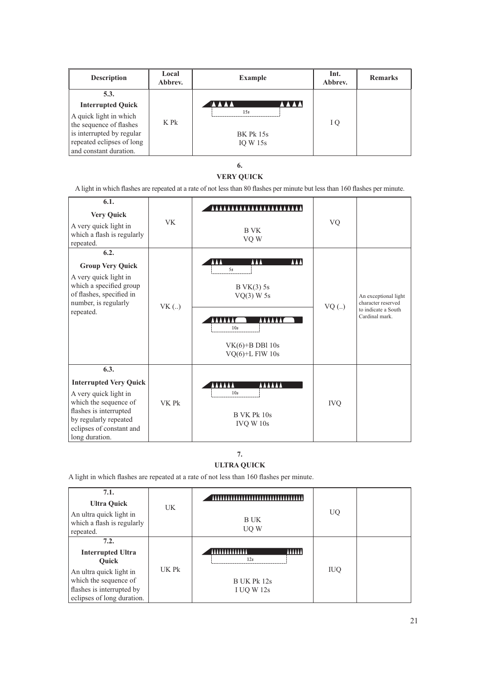| <b>Description</b>        | Local<br>Abbrev. | <b>Example</b>               | Int.<br>Abbrev. | <b>Remarks</b> |
|---------------------------|------------------|------------------------------|-----------------|----------------|
| 5.3.                      |                  |                              |                 |                |
| <b>Interrupted Quick</b>  |                  | <b>AAAA</b><br><b>TAA AA</b> |                 |                |
| A quick light in which    |                  | 15s                          |                 |                |
| the sequence of flashes   | K Pk             |                              | I Q             |                |
| is interrupted by regular |                  | <b>BK Pk 15s</b>             |                 |                |
| repeated eclipses of long |                  | IO W $15s$                   |                 |                |
| and constant duration.    |                  |                              |                 |                |

**6.**

#### **VERY QUICK**

A light in which flashes are repeated at a rate of not less than 80 flashes per minute but less than 160 flashes per minute.

| 6.1.<br><b>Very Quick</b><br>A very quick light in<br>which a flash is regularly<br>repeated.                                                                                            | <b>VK</b> | .<br>B VK<br>VQ W                                                                                     | VQ         |                                                                                     |
|------------------------------------------------------------------------------------------------------------------------------------------------------------------------------------------|-----------|-------------------------------------------------------------------------------------------------------|------------|-------------------------------------------------------------------------------------|
| 6.2.<br><b>Group Very Quick</b><br>A very quick light in<br>which a specified group<br>of flashes, specified in<br>number, is regularly<br>repeated.                                     | VK(.)     | AAA<br><b>AAA</b><br>5s<br>BVK(3) 5s<br>$VQ(3)$ W 5s<br>10s<br>$VK(6)+B DB1 10s$<br>$VQ(6)+L$ FlW 10s | $VQ$ ()    | An exceptional light<br>character reserved<br>to indicate a South<br>Cardinal mark. |
| 6.3.<br><b>Interrupted Very Quick</b><br>A very quick light in<br>which the sequence of<br>flashes is interrupted<br>by regularly repeated<br>eclipses of constant and<br>long duration. | VK Pk     | AAAAAA<br>AAAAA<br>10 <sub>s</sub><br>B VK Pk 10s<br>IVQ W 10s                                        | <b>IVQ</b> |                                                                                     |

#### **7. ULTRA QUICK**

A light in which flashes are repeated at a rate of not less than 160 flashes per minute.

| 7.1.<br><b>Ultra Quick</b><br>An ultra quick light in<br>which a flash is regularly<br>repeated.                                                                | <b>UK</b> | ************************************<br>B UK<br>UQ W                      | UQ.        |  |
|-----------------------------------------------------------------------------------------------------------------------------------------------------------------|-----------|---------------------------------------------------------------------------|------------|--|
| 7.2.<br><b>Interrupted Ultra</b><br><b>Ouick</b><br>An ultra quick light in<br>which the sequence of<br>flashes is interrupted by<br>eclipses of long duration. | UK Pk     | <b>AAAAAA</b><br><b>IYYYYYYYYYYYY</b><br>12s<br>B UK Pk 12s<br>I UQ W 12s | <b>IUQ</b> |  |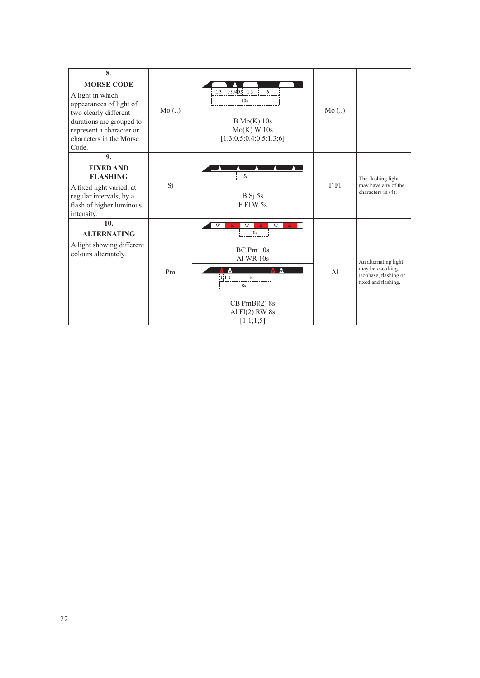| 8.<br><b>MORSE CODE</b><br>A light in which<br>appearances of light of<br>two clearly different<br>durations are grouped to<br>represent a character or<br>characters in the Morse<br>Code. | Mo(.) | $0.50.40.5$ 1.3<br>1.3<br>6<br>10 <sub>s</sub><br>B Mo(K) 10s<br>$Mo(K)$ W 10s<br>[1.3; 0.5; 0.4; 0.5; 1.3; 6]                     | Mo(.)          |                                                                                           |
|---------------------------------------------------------------------------------------------------------------------------------------------------------------------------------------------|-------|------------------------------------------------------------------------------------------------------------------------------------|----------------|-------------------------------------------------------------------------------------------|
| 9.<br><b>FIXED AND</b><br><b>FLASHING</b><br>A fixed light varied, at<br>regular intervals, by a<br>flash of higher luminous<br>intensity.                                                  | Si    | 5s<br>B Sj 5s<br><b>FFIW5s</b>                                                                                                     | F F1           | The flashing light<br>may have any of the<br>characters in (4).                           |
| 10.<br><b>ALTERNATING</b><br>A light showing different<br>colours alternately.                                                                                                              | Pm    | W<br>W<br>W<br>R<br>10s<br>BC Pm 10s<br>Al WR 10s<br>1111<br>$\mathcal{L}$<br>8s<br>$CB PmBl(2)$ 8s<br>Al Fl(2) RW 8s<br>[1;1;1;5] | A <sup>1</sup> | An alternating light<br>may be occulting,<br>isophase, flashing or<br>fixed and flashing. |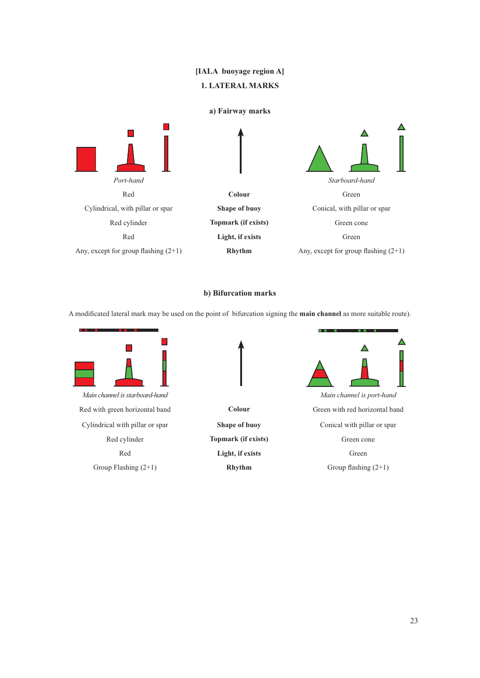## **[IALA buoyage region A] 1. LATERAL MARKS**

#### **a) Fairway marks**



#### **b) Bifurcation marks**

A modifi cated lateral mark may be used on the point of bifurcation signing the **main channel** as more suitable route).



*Main channel is starboard-hand Main channel is port-hand* Red with green horizontal band **Colour** Green with red horizontal band Cylindrical with pillar or spar **Shape of buoy** Conical with pillar or spar Red cylinder **Topmark (if exists)** Green cone



Red **Light, if exists** Green



Group Flashing (2+1) **Rhythm** Group flashing (2+1)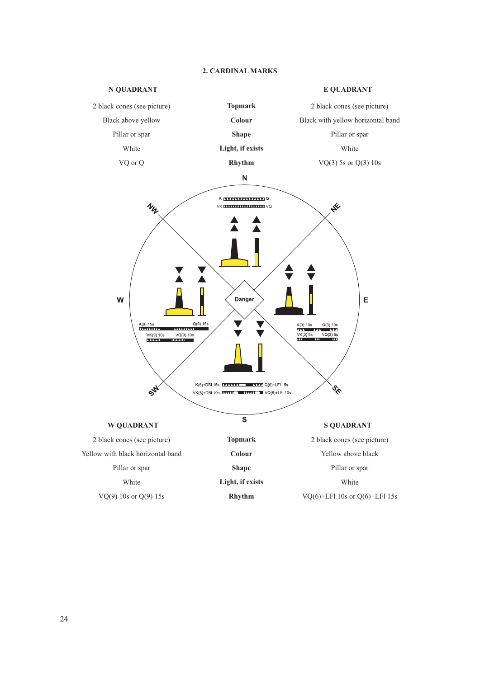

#### **2. CARDINAL MARKS**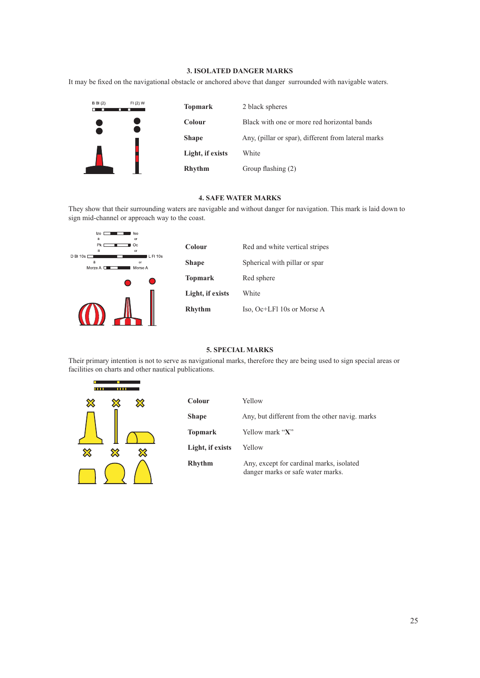#### **3. ISOLATED DANGER MARKS**

It may be fixed on the navigational obstacle or anchored above that danger surrounded with navigable waters.



#### **4. SAFE WATER MARKS**

They show that their surrounding waters are navigable and without danger for navigation. This mark is laid down to sign mid-channel or approach way to the coast.



| Colour           | Red and white vertical stripes |
|------------------|--------------------------------|
| <b>Shape</b>     | Spherical with pillar or spar  |
| <b>Topmark</b>   | Red sphere                     |
| Light, if exists | White                          |
| <b>Rhythm</b>    | Iso, Oc+LFI 10s or Morse A     |

#### **5. SPECIAL MARKS**

Their primary intention is not to serve as navigational marks, therefore they are being used to sign special areas or facilities on charts and other nautical publications.



| Colour           | Yellow                                                                        |
|------------------|-------------------------------------------------------------------------------|
| Shape            | Any, but different from the other navig. marks                                |
| Topmark          | Yellow mark "X"                                                               |
| Light, if exists | Yellow                                                                        |
| Rhythm           | Any, except for cardinal marks, isolated<br>danger marks or safe water marks. |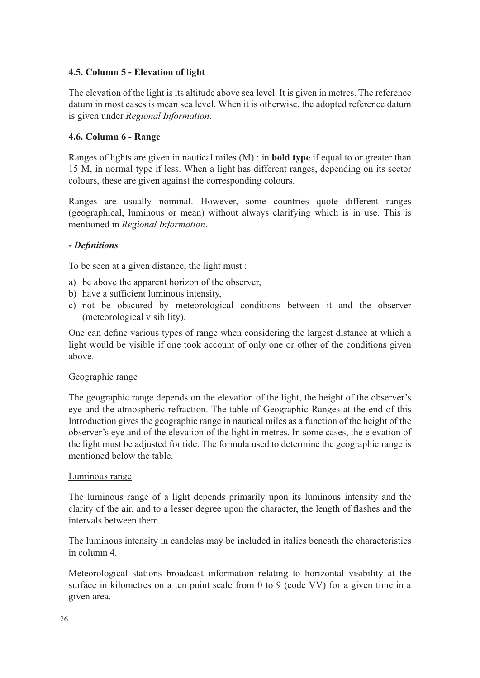## **4.5. Column 5 - Elevation of light**

The elevation of the light is its altitude above sea level. It is given in metres. The reference datum in most cases is mean sea level. When it is otherwise, the adopted reference datum is given under *Regional Information*.

## **4.6. Column 6 - Range**

Ranges of lights are given in nautical miles (M) : in **bold type** if equal to or greater than 15 M, in normal type if less. When a light has different ranges, depending on its sector colours, these are given against the corresponding colours.

Ranges are usually nominal. However, some countries quote different ranges (geographical, luminous or mean) without always clarifying which is in use. This is mentioned in *Regional Information*.

### *- Defi nitions*

To be seen at a given distance, the light must :

- a) be above the apparent horizon of the observer,
- b) have a sufficient luminous intensity,
- c) not be obscured by meteorological conditions between it and the observer (meteorological visibility).

One can define various types of range when considering the largest distance at which a light would be visible if one took account of only one or other of the conditions given above.

### Geographic range

The geographic range depends on the elevation of the light, the height of the observer's eye and the atmospheric refraction. The table of Geographic Ranges at the end of this Introduction gives the geographic range in nautical miles as a function of the height of the observer's eye and of the elevation of the light in metres. In some cases, the elevation of the light must be adjusted for tide. The formula used to determine the geographic range is mentioned below the table.

### Luminous range

The luminous range of a light depends primarily upon its luminous intensity and the clarity of the air, and to a lesser degree upon the character, the length of flashes and the intervals between them.

The luminous intensity in candelas may be included in italics beneath the characteristics in column 4.

Meteorological stations broadcast information relating to horizontal visibility at the surface in kilometres on a ten point scale from 0 to 9 (code VV) for a given time in a given area.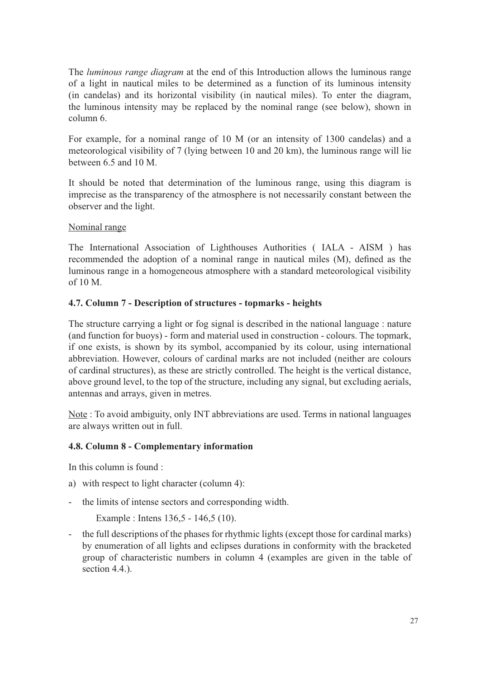The *luminous range diagram* at the end of this Introduction allows the luminous range of a light in nautical miles to be determined as a function of its luminous intensity (in candelas) and its horizontal visibility (in nautical miles). To enter the diagram, the luminous intensity may be replaced by the nominal range (see below), shown in column 6.

For example, for a nominal range of 10 M (or an intensity of 1300 candelas) and a meteorological visibility of 7 (lying between 10 and 20 km), the luminous range will lie between 6.5 and 10 M.

It should be noted that determination of the luminous range, using this diagram is imprecise as the transparency of the atmosphere is not necessarily constant between the observer and the light.

#### Nominal range

The International Association of Lighthouses Authorities ( IALA - AISM ) has recommended the adoption of a nominal range in nautical miles (M), defined as the luminous range in a homogeneous atmosphere with a standard meteorological visibility of 10 M.

#### **4.7. Column 7 - Description of structures - topmarks - heights**

The structure carrying a light or fog signal is described in the national language : nature (and function for buoys) - form and material used in construction - colours. The topmark, if one exists, is shown by its symbol, accompanied by its colour, using international abbreviation. However, colours of cardinal marks are not included (neither are colours of cardinal structures), as these are strictly controlled. The height is the vertical distance, above ground level, to the top of the structure, including any signal, but excluding aerials, antennas and arrays, given in metres.

Note : To avoid ambiguity, only INT abbreviations are used. Terms in national languages are always written out in full.

### **4.8. Column 8 - Complementary information**

In this column is found :

- a) with respect to light character (column 4):
- the limits of intense sectors and corresponding width.

Example : Intens 136,5 - 146,5 (10).

- the full descriptions of the phases for rhythmic lights (except those for cardinal marks) by enumeration of all lights and eclipses durations in conformity with the bracketed group of characteristic numbers in column 4 (examples are given in the table of section 4.4.).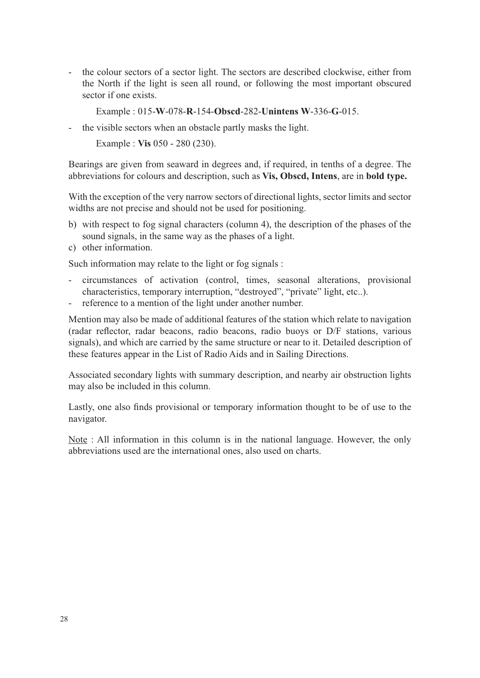the colour sectors of a sector light. The sectors are described clockwise, either from the North if the light is seen all round, or following the most important obscured sector if one exists.

Example : 015-**W**-078-**R**-154-**Obscd**-282-**Unintens W**-336-**G**-015.

- the visible sectors when an obstacle partly masks the light.

Example : **Vis** 050 - 280 (230).

Bearings are given from seaward in degrees and, if required, in tenths of a degree. The abbreviations for colours and description, such as **Vis, Obscd, Intens**, are in **bold type.**

With the exception of the very narrow sectors of directional lights, sector limits and sector widths are not precise and should not be used for positioning.

- b) with respect to fog signal characters (column 4), the description of the phases of the sound signals, in the same way as the phases of a light.
- c) other information.

Such information may relate to the light or fog signals :

- circumstances of activation (control, times, seasonal alterations, provisional characteristics, temporary interruption, "destroyed", "private" light, etc..).
- reference to a mention of the light under another number.

Mention may also be made of additional features of the station which relate to navigation (radar reflector, radar beacons, radio beacons, radio buoys or D/F stations, various signals), and which are carried by the same structure or near to it. Detailed description of these features appear in the List of Radio Aids and in Sailing Directions.

Associated secondary lights with summary description, and nearby air obstruction lights may also be included in this column.

Lastly, one also finds provisional or temporary information thought to be of use to the navigator.

Note : All information in this column is in the national language. However, the only abbreviations used are the international ones, also used on charts.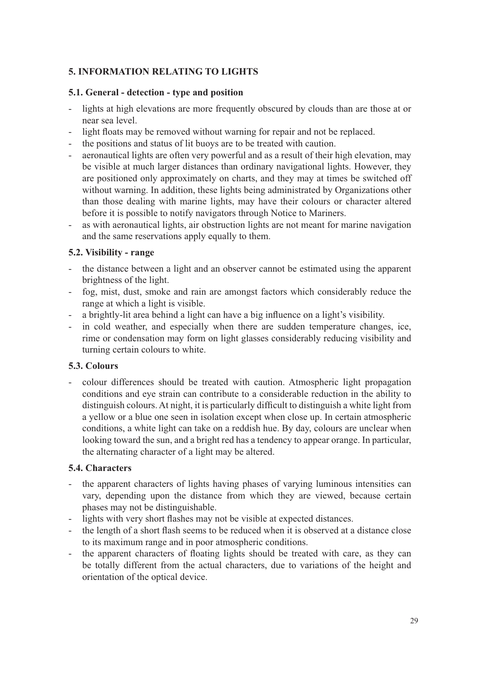## **5. INFORMATION RELATING TO LIGHTS**

#### **5.1. General - detection - type and position**

- lights at high elevations are more frequently obscured by clouds than are those at or near sea level.
- light floats may be removed without warning for repair and not be replaced.
- the positions and status of lit buoys are to be treated with caution.
- aeronautical lights are often very powerful and as a result of their high elevation, may be visible at much larger distances than ordinary navigational lights. However, they are positioned only approximately on charts, and they may at times be switched off without warning. In addition, these lights being administrated by Organizations other than those dealing with marine lights, may have their colours or character altered before it is possible to notify navigators through Notice to Mariners.
- as with aeronautical lights, air obstruction lights are not meant for marine navigation and the same reservations apply equally to them.

#### **5.2. Visibility - range**

- the distance between a light and an observer cannot be estimated using the apparent brightness of the light.
- fog, mist, dust, smoke and rain are amongst factors which considerably reduce the range at which a light is visible.
- a brightly-lit area behind a light can have a big influence on a light's visibility.
- in cold weather, and especially when there are sudden temperature changes, ice, rime or condensation may form on light glasses considerably reducing visibility and turning certain colours to white.

## **5.3. Colours**

- colour differences should be treated with caution. Atmospheric light propagation conditions and eye strain can contribute to a considerable reduction in the ability to distinguish colours. At night, it is particularly difficult to distinguish a white light from a yellow or a blue one seen in isolation except when close up. In certain atmospheric conditions, a white light can take on a reddish hue. By day, colours are unclear when looking toward the sun, and a bright red has a tendency to appear orange. In particular, the alternating character of a light may be altered.

### **5.4. Characters**

- the apparent characters of lights having phases of varying luminous intensities can vary, depending upon the distance from which they are viewed, because certain phases may not be distinguishable.
- lights with very short flashes may not be visible at expected distances.
- the length of a short flash seems to be reduced when it is observed at a distance close to its maximum range and in poor atmospheric conditions.
- the apparent characters of floating lights should be treated with care, as they can be totally different from the actual characters, due to variations of the height and orientation of the optical device.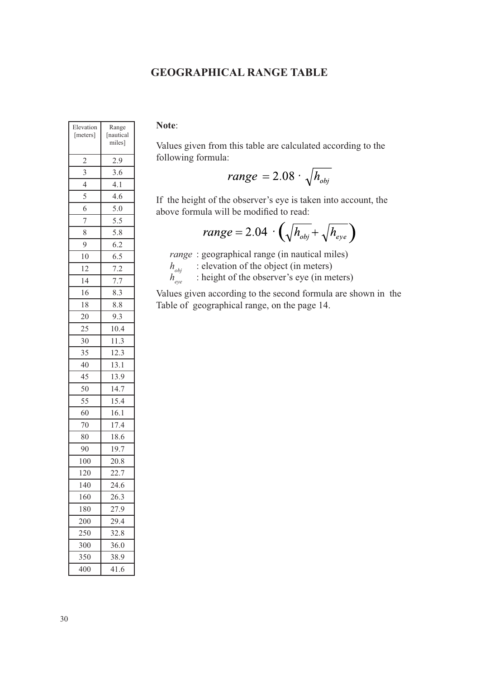## **GEOGRAPHICAL RANGE TABLE**

| $\sim$<br>۰,<br>۰, |  |
|--------------------|--|
|--------------------|--|

Values given from this table are calculated according to the following formula:

$$
range = 2.08 \cdot \sqrt{h_{obj}}
$$

If the height of the observer's eye is taken into account, the above formula will be modified to read:

$$
range = 2.04 \cdot \left(\sqrt{h_{obj}} + \sqrt{h_{eye}}\right)
$$

 *range* : geographical range (in nautical miles)

 $h_{obj}$  : elevation of the object (in meters)

 $h_{eve}$ : height of the observer's eye (in meters)

Values given according to the second formula are shown in the Table of geographical range, on the page 14.

| Elevation<br>[meters]    | Range<br>[nautical<br>miles] |
|--------------------------|------------------------------|
| $\overline{c}$           | 2.9                          |
| $\overline{3}$           | 3.6                          |
| $\overline{\mathcal{L}}$ | 4.1                          |
| 5                        | 4.6                          |
| 6                        | 5.0                          |
| 7                        | 5.5                          |
| 8                        | 5.8                          |
| 9                        | 6.2                          |
| 10                       | 6.5                          |
| 12                       | 7.2                          |
| 14                       | 7.7                          |
| 16                       | 8.3                          |
| 18                       | 8.8                          |
| 20                       | 9.3                          |
| 25                       | 10.4                         |
| 30                       | 11.3                         |
| 35                       | 12.3                         |
| 40                       | 13.1                         |
| 45                       | 13.9                         |
| 50                       | 14.7                         |
| 55                       | 15.4                         |
| 60                       | 16.1                         |
| 70                       | 17.4                         |
| 80                       | 18.6                         |
| 90                       | 19.7                         |
| 100                      | 20.8                         |
| 120                      | 22.7                         |
| 140                      | 24.6                         |
| 160                      | 26.3                         |
| 180                      | 27.9                         |
| 200                      | 29.4                         |
| 250                      | 32.8                         |
| 300                      | 36.0                         |
| 350                      | 38.9                         |
| 400                      | 41.6                         |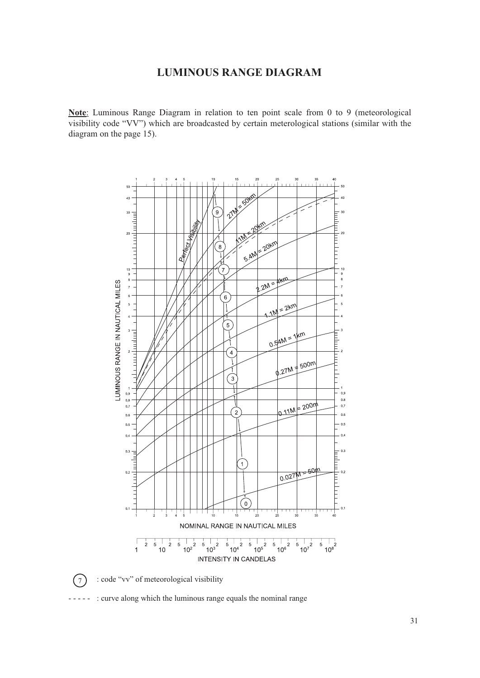## **LUMINOUS RANGE DIAGRAM**

**Note**: Luminous Range Diagram in relation to ten point scale from 0 to 9 (meteorological visibility code "VV") which are broadcasted by certain meterological stations (similar with the diagram on the page 15).



 $(7)$ 

: code "vv" of meteorological visibility

- : curve along which the luminous range equals the nominal range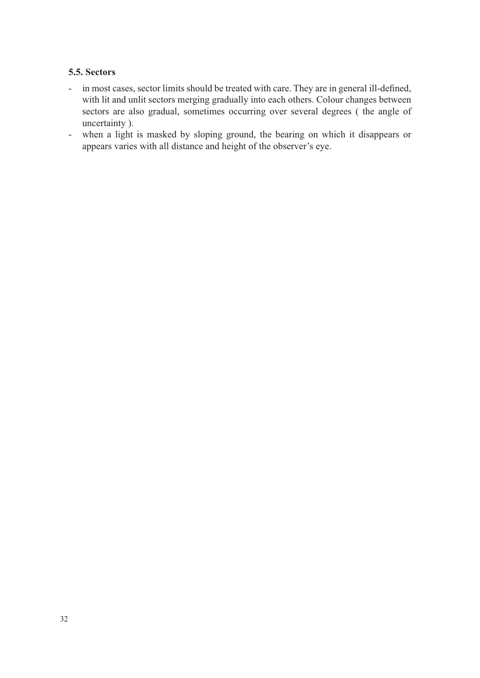### **5.5. Sectors**

- in most cases, sector limits should be treated with care. They are in general ill-defined, with lit and unlit sectors merging gradually into each others. Colour changes between sectors are also gradual, sometimes occurring over several degrees ( the angle of uncertainty ).
- when a light is masked by sloping ground, the bearing on which it disappears or appears varies with all distance and height of the observer's eye.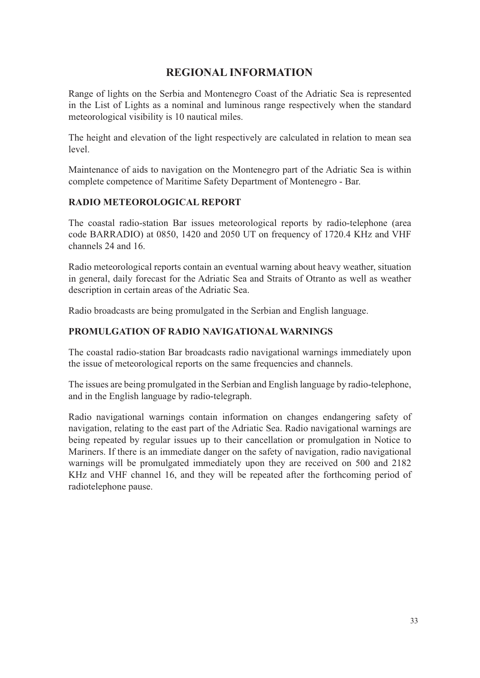## **REGIONAL INFORMATION**

Range of lights on the Serbia and Montenegro Coast of the Adriatic Sea is represented in the List of Lights as a nominal and luminous range respectively when the standard meteorological visibility is 10 nautical miles.

The height and elevation of the light respectively are calculated in relation to mean sea level.

Maintenance of aids to navigation on the Montenegro part of the Adriatic Sea is within complete competence of Maritime Safety Department of Montenegro - Bar.

#### **RADIO METEOROLOGICAL REPORT**

The coastal radio-station Bar issues meteorological reports by radio-telephone (area code BARRADIO) at 0850, 1420 and 2050 UT on frequency of 1720.4 KHz and VHF channels 24 and 16.

Radio meteorological reports contain an eventual warning about heavy weather, situation in general, daily forecast for the Adriatic Sea and Straits of Otranto as well as weather description in certain areas of the Adriatic Sea.

Radio broadcasts are being promulgated in the Serbian and English language.

### **PROMULGATION OF RADIO NAVIGATIONAL WARNINGS**

The coastal radio-station Bar broadcasts radio navigational warnings immediately upon the issue of meteorological reports on the same frequencies and channels.

The issues are being promulgated in the Serbian and English language by radio-telephone, and in the English language by radio-telegraph.

Radio navigational warnings contain information on changes endangering safety of navigation, relating to the east part of the Adriatic Sea. Radio navigational warnings are being repeated by regular issues up to their cancellation or promulgation in Notice to Mariners. If there is an immediate danger on the safety of navigation, radio navigational warnings will be promulgated immediately upon they are received on 500 and 2182 KHz and VHF channel 16, and they will be repeated after the forthcoming period of radiotelephone pause.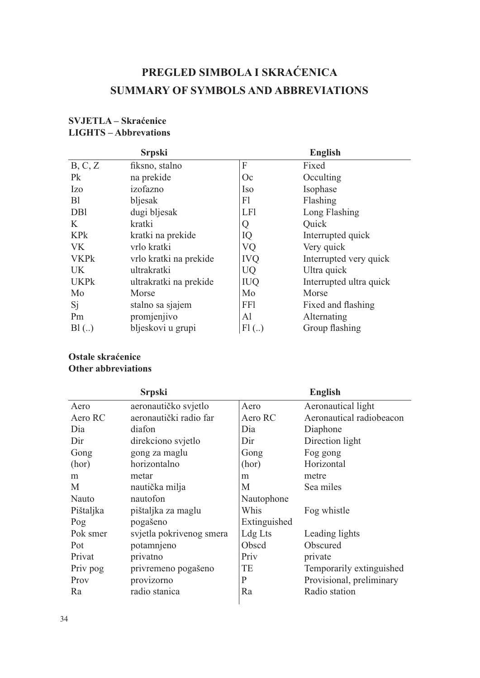## **PREGLED SIMBOLA I SKRAĆENICA SUMMARY OF SYMBOLS AND ABBREVIATIONS**

|                 | <b>Srpski</b>          | <b>English</b> |                         |  |  |
|-----------------|------------------------|----------------|-------------------------|--|--|
| B, C, Z         | fiksno, stalno         | F              | Fixed                   |  |  |
| P <sub>k</sub>  | na prekide             | Oc             | Occulting               |  |  |
| <b>Izo</b>      | izofazno               | <b>Iso</b>     | Isophase                |  |  |
| B <sub>1</sub>  | bljesak                | F1             | Flashing                |  |  |
| D <sub>B1</sub> | dugi bljesak           | <b>LF1</b>     | Long Flashing           |  |  |
| K               | kratki                 | Q              | Quick                   |  |  |
| <b>KPk</b>      | kratki na prekide      | IQ             | Interrupted quick       |  |  |
| <b>VK</b>       | vrlo kratki            | VQ             | Very quick              |  |  |
| <b>VKPk</b>     | vrlo kratki na prekide | <b>IVQ</b>     | Interrupted very quick  |  |  |
| <b>UK</b>       | ultrakratki            | <b>UQ</b>      | Ultra quick             |  |  |
| <b>UKPk</b>     | ultrakratki na prekide | <b>IUQ</b>     | Interrupted ultra quick |  |  |
| Mo              | Morse                  | Mo             | Morse                   |  |  |
| Si              | stalno sa sjajem       | FF1            | Fixed and flashing      |  |  |
| Pm              | promjenjivo            | Al             | Alternating             |  |  |
| B1(.)           | bljeskovi u grupi      | $Fl$ $($ )     | Group flashing          |  |  |

## **SVJETLA – Skraćenice LIGHTS – Abbrevations**

## **Ostale skraćenice Other abbreviations**

|           | <b>Srpski</b>            | <b>English</b> |                          |  |  |
|-----------|--------------------------|----------------|--------------------------|--|--|
| Aero      | aeronautičko svjetlo     | Aero           | Aeronautical light       |  |  |
| Aero RC   | aeronautički radio far   | Aero RC        | Aeronautical radiobeacon |  |  |
| Dia       | diafon                   | Dia            | Diaphone                 |  |  |
| Dir       | direkciono svjetlo       | Dir            | Direction light          |  |  |
| Gong      | gong za maglu            | Gong           | Fog gong                 |  |  |
| (hor)     | horizontalno             | (hor)          | Horizontal               |  |  |
| m         | metar                    | m              | metre                    |  |  |
| M         | nautička milja           | M              | Sea miles                |  |  |
| Nauto     | nautofon                 | Nautophone     |                          |  |  |
| Pištaljka | pištaljka za maglu       | Whis           | Fog whistle              |  |  |
| Pog       | pogašeno                 | Extinguished   |                          |  |  |
| Pok smer  | svjetla pokrivenog smera | Ldg Lts        | Leading lights           |  |  |
| Pot       | potamnjeno               | Obscd          | Obscured                 |  |  |
| Privat    | privatno                 | Priv           | private                  |  |  |
| Priv pog  | privremeno pogašeno      | TE             | Temporarily extinguished |  |  |
| Prov      | provizorno               | P              | Provisional, preliminary |  |  |
| Ra        | radio stanica            | Ra             | Radio station            |  |  |
|           |                          |                |                          |  |  |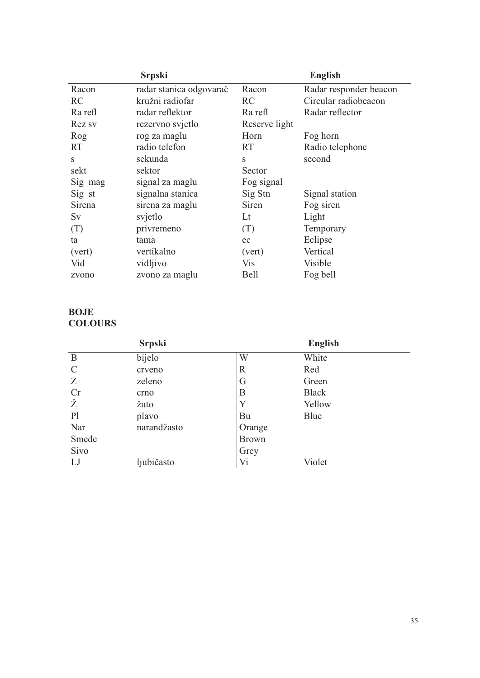|         | <b>Srpski</b>           | <b>English</b> |                        |  |
|---------|-------------------------|----------------|------------------------|--|
| Racon   | radar stanica odgovarač | Racon          | Radar responder beacon |  |
| RC      | kružni radiofar         | RC             | Circular radiobeacon   |  |
| Ra refl | radar reflektor         | Ra refl        | Radar reflector        |  |
| Rez sv  | rezervno svjetlo        | Reserve light  |                        |  |
| Rog     | rog za maglu            | Horn           | Fog horn               |  |
| RT.     | radio telefon           | <b>RT</b>      | Radio telephone        |  |
| S       | sekunda                 | S              | second                 |  |
| sekt    | sektor                  | Sector         |                        |  |
| Sig mag | signal za maglu         | Fog signal     |                        |  |
| Sig st  | signalna stanica        | Sig Stn        | Signal station         |  |
| Sirena  | sirena za maglu         | Siren          | Fog siren              |  |
| Sv      | svjetlo                 | Lt             | Light                  |  |
| (T)     | privremeno              | (T)            | Temporary              |  |
| ta      | tama                    | ec             | Eclipse                |  |
| (vert)  | vertikalno              | (vert)         | Vertical               |  |
| Vid     | vidljivo                | Vis            | Visible                |  |
| zvono   | zvono za maglu          | <b>Bell</b>    | Fog bell               |  |

## **BOJE COLOURS**

|                | <b>Srpski</b> | <b>English</b> |              |  |  |
|----------------|---------------|----------------|--------------|--|--|
| B              | bijelo        | W              | White        |  |  |
| $\mathcal{C}$  | crveno        | $\mathbb R$    | Red          |  |  |
| Z              | zeleno        | G              | Green        |  |  |
| Cr             | crno          | B              | <b>Black</b> |  |  |
| Ž              | žuto          | Y              | Yellow       |  |  |
| P <sub>1</sub> | plavo         | Bu             | Blue         |  |  |
| Nar            | narandžasto   | Orange         |              |  |  |
| Smede          |               | <b>Brown</b>   |              |  |  |
| Sivo           |               | Grey           |              |  |  |
| LJ             | ljubičasto    | Vi             | Violet       |  |  |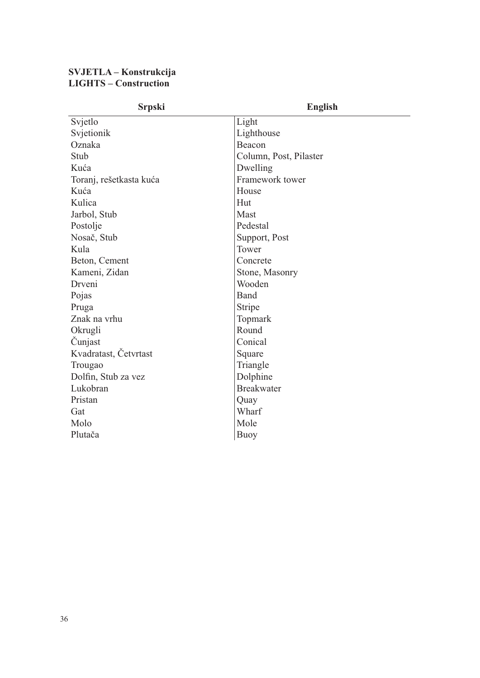#### **SVJETLA – Konstrukcija LIGHTS – Construction**

| <b>Srpski</b>           | <b>English</b>         |
|-------------------------|------------------------|
| Svjetlo                 | Light                  |
| Svjetionik              | Lighthouse             |
| Oznaka                  | Beacon                 |
| Stub                    | Column, Post, Pilaster |
| Kuća                    | Dwelling               |
| Toranj, rešetkasta kuća | Framework tower        |
| Kuća                    | House                  |
| Kulica                  | Hut                    |
| Jarbol, Stub            | Mast                   |
| Postolje                | Pedestal               |
| Nosač, Stub             | Support, Post          |
| Kula                    | Tower                  |
| Beton, Cement           | Concrete               |
| Kameni, Zidan           | Stone, Masonry         |
| Drveni                  | Wooden                 |
| Pojas                   | Band                   |
| Pruga                   | Stripe                 |
| Znak na vrhu            | Topmark                |
| Okrugli                 | Round                  |
| Čunjast                 | Conical                |
| Kvadratast, Četvrtast   | Square                 |
| Trougao                 | Triangle               |
| Dolfin, Stub za vez     | Dolphine               |
| Lukobran                | <b>Breakwater</b>      |
| Pristan                 | Quay                   |
| Gat                     | Wharf                  |
| Molo                    | Mole                   |
| Plutača                 | Buoy                   |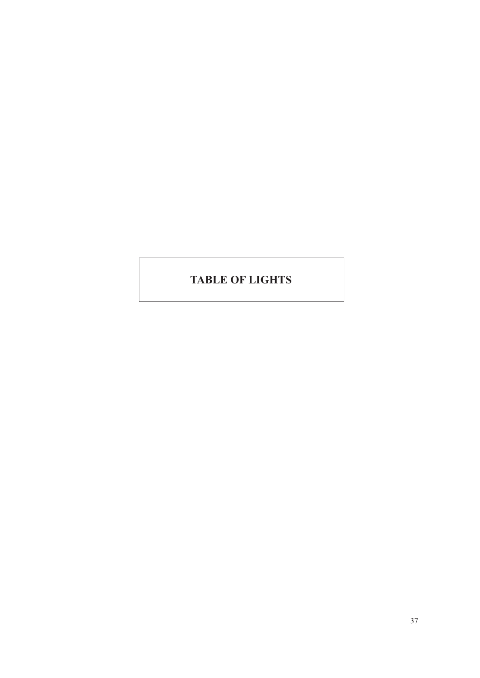## **TABLE OF LIGHTS**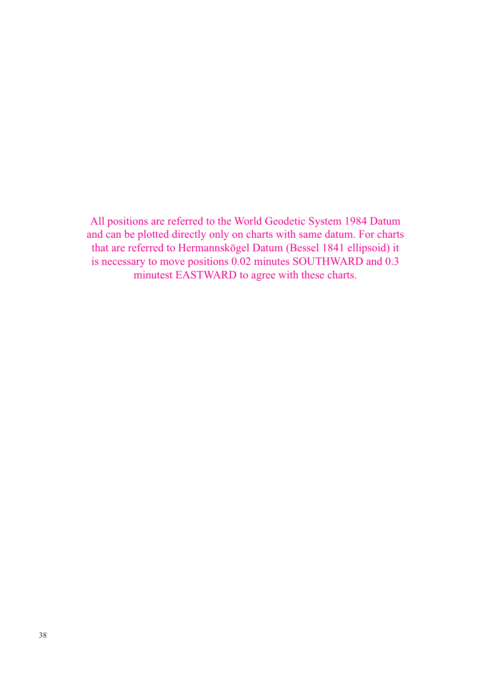All positions are referred to the World Geodetic System 1984 Datum and can be plotted directly only on charts with same datum. For charts that are referred to Hermannskögel Datum (Bessel 1841 ellipsoid) it is necessary to move positions 0.02 minutes SOUTHWARD and 0.3 minutest EASTWARD to agree with these charts.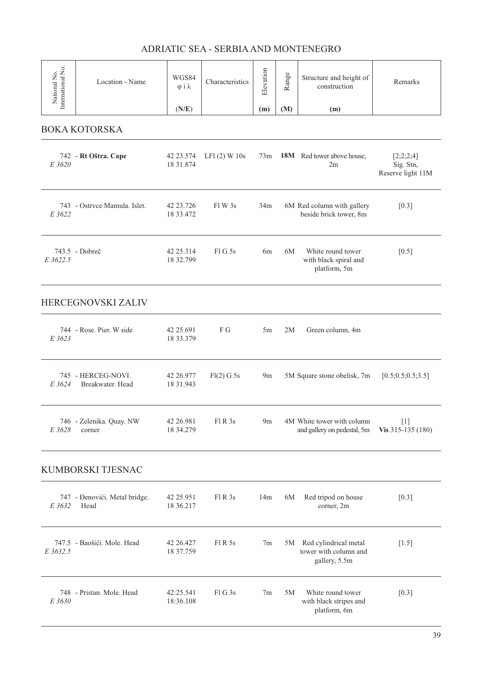| National No.<br>International No. | Location - Name                        | WGS84<br>$\varphi$ i $\lambda$<br>(N/E) | Characteristics   | Elevation<br>(m) | Range<br>(M) | Structure and height of<br>construction<br>(m)                  | Remarks                                     |
|-----------------------------------|----------------------------------------|-----------------------------------------|-------------------|------------------|--------------|-----------------------------------------------------------------|---------------------------------------------|
|                                   | <b>BOKA KOTORSKA</b>                   |                                         |                   |                  |              |                                                                 |                                             |
| E 3620                            | 742 - Rt Oštra. Cape                   | 42 23.574<br>18 31.874                  | LF1 (2) W 10s     | 73m              |              | 18M Red tower above house,<br>2m                                | [2;2;2;4]<br>Sig. Stn,<br>Reserve light 11M |
| E 3622                            | 743 - Ostrvce Mamula. Islet.           | 42 23.726<br>18 33.472                  | F1W3s             | 34m              |              | 6M Red column with gallery<br>beside brick tower, 8m            | $[0.3]$                                     |
| E 3622.5                          | 743.5 - Dobreč                         | 42 25 314<br>18 32.799                  | FlG5s             | 6m               | 6M           | White round tower<br>with black spiral and<br>platform, 5m      | $[0.5]$                                     |
|                                   | HERCEGNOVSKI ZALIV                     |                                         |                   |                  |              |                                                                 |                                             |
| E 3623                            | 744 - Rose. Pier. W side               | 42 25.691<br>18 33.379                  | F G               | 5m               | 2M           | Green column, 4m                                                |                                             |
| E 3624                            | 745 - HERCEG-NOVI.<br>Breakwater, Head | 42 26.977<br>18 31.943                  | Fl(2) G 5s        | 9m               |              | 5M Square stone obelisk, 7m                                     | [0.5; 0.5; 0.5; 3.5]                        |
| E 3628                            | 746 - Zelenika. Quay. NW<br>corner     | 42 26.981<br>18 34.279                  | Fl R 3s           |                  |              | 9m 4M White tower with column<br>and gallery on pedestal, 5m    | [1]<br>Vis $315-135(180)$                   |
|                                   | KUMBORSKI TJESNAC                      |                                         |                   |                  |              |                                                                 |                                             |
| E 3632                            | 747 - Đenovići. Metal bridge.<br>Head  | 42 25.951<br>18 36.217                  | Fl R 3s           | 14m              | 6M           | Red tripod on house<br>corner, 2m                               | $[0.3]$                                     |
| E 3632.5                          | 747.5 - Baošići, Mole, Head            | 42 26.427<br>18 37.759                  | Fl R 5s           | 7 <sub>m</sub>   | 5M           | Red cylindrical metal<br>tower with column and<br>gallery, 5.5m | $[1.5]$                                     |
| E 3630                            | 748 - Pristan. Mole. Head              | 42:25.541<br>18:36.108                  | FlG <sub>3s</sub> | 7m               | 5M           | White round tower<br>with black stripes and<br>platform, 6m     | $[0.3]$                                     |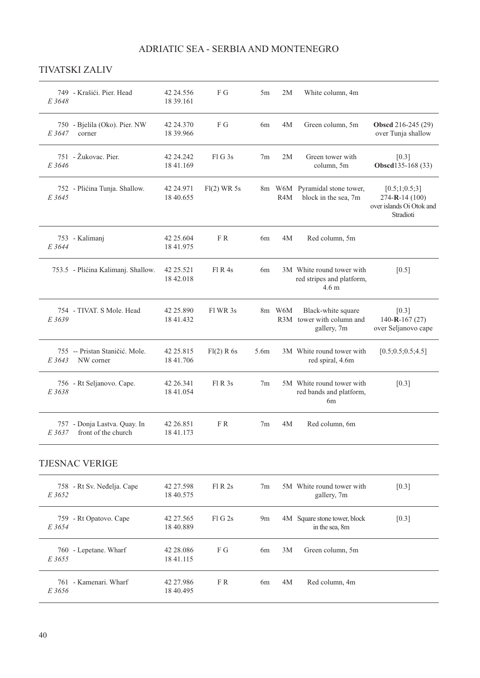## TIVATSKI ZALIV

| E 3648 | 749 - Krašići. Pier. Head                           | 42 24.556<br>18 39.161    | F G         | 5m             | 2M               | White column, 4m                                                           |                                                                          |
|--------|-----------------------------------------------------|---------------------------|-------------|----------------|------------------|----------------------------------------------------------------------------|--------------------------------------------------------------------------|
| E 3647 | 750 - Bjelila (Oko). Pier. NW<br>corner             | 42 24.370<br>18 39.966    | F G         | 6m             | 4M               | Green column, 5m                                                           | <b>Obsed</b> 216-245 (29)<br>over Tunja shallow                          |
| E 3646 | 751 - Žukovac, Pier.                                | 42 24 24 24 2<br>1841.169 | F1G3s       | 7 <sub>m</sub> | 2M               | Green tower with<br>column, 5m                                             | [0.3]<br>Obscd135-168 (33)                                               |
| E 3645 | 752 - Plićina Tunja. Shallow.                       | 42 24.971<br>18 40.655    | Fl(2) WR 5s |                | R <sub>4</sub> M | 8m W6M Pyramidal stone tower,<br>block in the sea, 7m                      | [0.5;1;0.5;3]<br>274-R-14 (100)<br>over islands Oi Otok and<br>Stradioti |
| E 3644 | 753 - Kalimanj                                      | 42 25.604<br>18 41.975    | FR.         | 6m             | 4M               | Red column, 5m                                                             |                                                                          |
|        | 753.5 - Plićina Kalimanj. Shallow.                  | 42 25.521<br>18 42.018    | $FI$ R 4s   | 6 <sub>m</sub> |                  | 3M White round tower with<br>red stripes and platform,<br>4.6 <sub>m</sub> | $[0.5]$                                                                  |
| E 3639 | 754 - TIVAT. S Mole. Head                           | 42 25.890<br>18 41.432    | Fl WR 3s    |                | 8m W6M           | Black-white square<br>R3M tower with column and<br>gallery, 7m             | [0.3]<br>$140 - R - 167(27)$<br>over Seljanovo cape                      |
| E 3643 | 755 -- Pristan Staničić, Mole.<br>NW corner         | 42 25.815<br>18 41.706    | Fl(2) R 6s  | 5.6m           |                  | 3M White round tower with<br>red spiral, 4.6m                              | [0.5; 0.5; 0.5; 4.5]                                                     |
| E 3638 | 756 - Rt Seljanovo. Cape.                           | 42 26.341<br>18 41.054    | FI R 3s     | 7 <sub>m</sub> |                  | 5M White round tower with<br>red bands and platform,<br>6m                 | $[0.3]$                                                                  |
| E 3637 | 757 - Donja Lastva. Quay. In<br>front of the church | 42 26.851<br>1841.173     | FR.         | 7 <sub>m</sub> | 4M               | Red column, 6m                                                             |                                                                          |

## TJESNAC VERIGE

| 758 - Rt Sv. Neđelja. Cape<br>E 3652 | 42 27.598<br>18 40.575 | F1R2s     | 7 <sub>m</sub> |    | 5M White round tower with<br>gallery, 7m       | [0.3] |
|--------------------------------------|------------------------|-----------|----------------|----|------------------------------------------------|-------|
| 759 - Rt Opatovo. Cape<br>E 3654     | 42 27.565<br>18 40.889 | $FI$ G 2s | 9m             |    | 4M Square stone tower, block<br>in the sea, 8m | [0.3] |
| 760 - Lepetane. Wharf<br>E 3655      | 42 28,086<br>18 41.115 | F G       | 6 <sub>m</sub> | 3M | Green column, 5m                               |       |
| 761 - Kamenari, Wharf<br>E 3656      | 42 27.986<br>18 40.495 | F R       | 6m             | 4M | Red column, 4m                                 |       |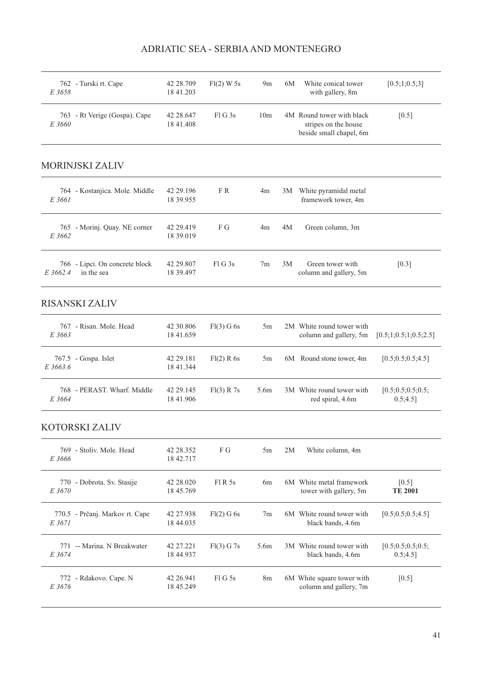| E 3658   | 762 - Turski rt. Cape                        | 42 28.709<br>18 41.203 | $Fl(2)$ W 5s | 9m              | 6M | White conical tower<br>with gallery, 8m                                      | [0.5;1;0.5;3]                    |
|----------|----------------------------------------------|------------------------|--------------|-----------------|----|------------------------------------------------------------------------------|----------------------------------|
| E 3660   | 763 - Rt Verige (Gospa). Cape                | 42 28.647<br>18 41.408 | $FI$ G 3s    | 10 <sub>m</sub> |    | 4M Round tower with black<br>stripes on the house<br>beside small chapel, 6m | $[0.5]$                          |
|          | <b>MORINJSKI ZALIV</b>                       |                        |              |                 |    |                                                                              |                                  |
| E 3661   | 764 - Kostanjica. Mole. Middle               | 42 29.196<br>18 39.955 | FR           | 4m              | 3M | White pyramidal metal<br>framework tower, 4m                                 |                                  |
| E 3662   | 765 - Morinj. Quay. NE corner                | 42 29.419<br>18 39.019 | F G          | 4m              | 4M | Green column, 3m                                                             |                                  |
| E 3662.4 | 766 - Lipci. On concrete block<br>in the sea | 42 29.807<br>18 39.497 | FIG3s        | 7 <sub>m</sub>  | 3M | Green tower with<br>column and gallery, 5m                                   | $[0.3]$                          |
|          | <b>RISANSKI ZALIV</b>                        |                        |              |                 |    |                                                                              |                                  |
| E 3663   | 767 - Risan. Mole. Head                      | 42 30.806<br>18 41.659 | Fl(3) G 6s   | 5m              |    | 2M White round tower with<br>column and gallery, 5m                          | [0.5;1;0.5;1;0.5;2.5]            |
| E 3663.6 | 767.5 - Gospa. Islet                         | 42 29.181<br>18 41.344 | Fl(2) R 6s   | 5m              |    | 6M Round stone tower, 4m                                                     | [0.5; 0.5; 0.5; 4.5]             |
| E 3664   | 768 - PERAST. Wharf. Middle                  | 42 29.145<br>18 41.906 | Fl(3) R 7s   | 5.6m            |    | 3M White round tower with<br>red spiral, 4.6m                                | [0.5; 0.5; 0.5; 0.5;<br>0.5;4.5] |
|          | KOTORSKI ZALIV                               |                        |              |                 |    |                                                                              |                                  |
| E 3666   | 769 - Stoliv. Mole. Head                     | 42 28.352<br>18 42.717 | F G          | 5m              | 2M | White column, 4m                                                             |                                  |
| E 3670   | 770 - Dobrota. Sv. Stasije                   | 42 28.020<br>18 45.769 | Fl R 5s      | 6m              |    | 6M White metal framework<br>tower with gallery, 5m                           | $[0.5]$<br><b>TE 2001</b>        |
| E 3671   | 770.5 - Prčanj. Markov rt. Cape              | 42 27.938<br>18 44.035 | Fl(2) G 6s   | 7 <sub>m</sub>  |    | 6M White round tower with<br>black bands, 4.6m                               | [0.5; 0.5; 0.5; 4.5]             |
| E 3674   | 771 -- Marina. N Breakwater                  | 42 27.221<br>18 44.937 | Fl(3) G 7s   | 5.6m            |    | 3M White round tower with<br>black bands, 4.6m                               | [0.5; 0.5; 0.5; 0.5;<br>0.5;4.5] |
| E 3676   | 772 - Rdakovo. Cape. N                       | 42 26.941<br>18 45.249 | FlG5s        | 8 <sub>m</sub>  |    | 6M White square tower with<br>column and gallery, 7m                         | $[0.5]$                          |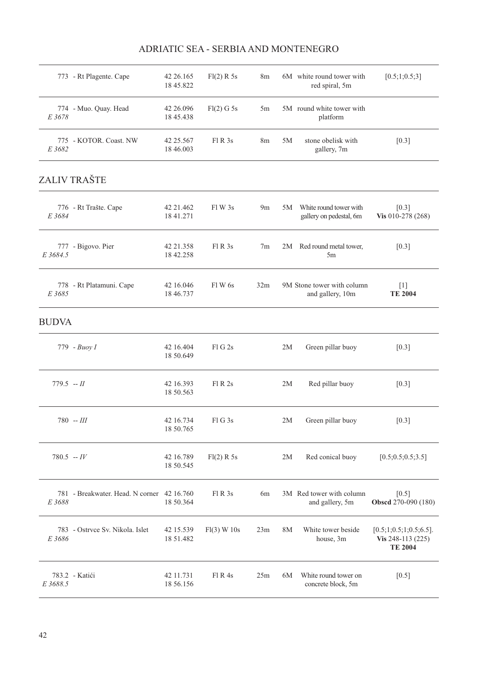|              | 773 - Rt Plagente. Cape                    | 42 26.165<br>18 45.822 | Fl(2) R 5s  | 8m             |           | 6M white round tower with<br>red spiral, 5m       | [0.5;1;0.5;3]                                                    |
|--------------|--------------------------------------------|------------------------|-------------|----------------|-----------|---------------------------------------------------|------------------------------------------------------------------|
| E 3678       | 774 - Muo. Quay. Head                      | 42 26.096<br>18 45.438 | Fl(2) G 5s  | 5m             |           | 5M round white tower with<br>platform             |                                                                  |
| E 3682       | 775 - KOTOR. Coast. NW                     | 42 25.567<br>18 46.003 | FI R 3s     | 8 <sub>m</sub> | 5M        | stone obelisk with<br>gallery, 7m                 | $[0.3]$                                                          |
|              | ZALIV TRAŠTE                               |                        |             |                |           |                                                   |                                                                  |
| E 3684       | 776 - Rt Trašte. Cape                      | 42 21.462<br>18 41.271 | Fl W 3s     | 9 <sub>m</sub> | 5M        | White round tower with<br>gallery on pedestal, 6m | $[0.3]$<br>Vis 010-278 (268)                                     |
| E 3684.5     | 777 - Bigovo. Pier                         | 42 21.358<br>18 42.258 | F1R3s       | 7 <sub>m</sub> |           | 2M Red round metal tower,<br>5m                   | $[0.3]$                                                          |
| E 3685       | 778 - Rt Platamuni. Cape                   | 42 16.046<br>18 46.737 | Fl W 6s     | 32m            |           | 9M Stone tower with column<br>and gallery, 10m    | $[1]$<br><b>TE 2004</b>                                          |
| <b>BUDVA</b> |                                            |                        |             |                |           |                                                   |                                                                  |
|              | 779 - Buoy I                               | 42 16.404<br>18 50.649 | FIG2s       |                | 2M        | Green pillar buoy                                 | $[0.3]$                                                          |
| $779.5 - H$  |                                            | 42 16.393<br>18 50.563 | F1R2s       |                | 2M        | Red pillar buoy                                   | $[0.3]$                                                          |
|              | $780 - HI$                                 | 42 16.734<br>18 50.765 | FIG3s       |                | 2M        | Green pillar buoy                                 | $[0.3]$                                                          |
| $780.5 - IV$ |                                            | 42 16.789<br>18 50.545 | Fl(2) R 5s  |                | 2M        | Red conical buoy                                  | [0.5; 0.5; 0.5; 3.5]                                             |
| E 3688       | 781 - Breakwater, Head, N corner 42 16.760 | 18 50.364              | Fl R 3s     | 6 <sub>m</sub> |           | 3M Red tower with column<br>and gallery, 5m       | $[0.5]$<br>Obscd 270-090 (180)                                   |
| E 3686       | 783 - Ostrvce Sv. Nikola. Islet            | 42 15.539<br>18 51.482 | Fl(3) W 10s | 23m            | <b>8M</b> | White tower beside<br>house, 3m                   | $[0.5;1;0.5;1;0.5;6.5]$ .<br>Vis 248-113 (225)<br><b>TE 2004</b> |
| E 3688.5     | 783.2 - Katići                             | 42 11.731<br>18 56.156 | F1R4s       | 25m            | 6M        | White round tower on<br>concrete block, 5m        | $[0.5]$                                                          |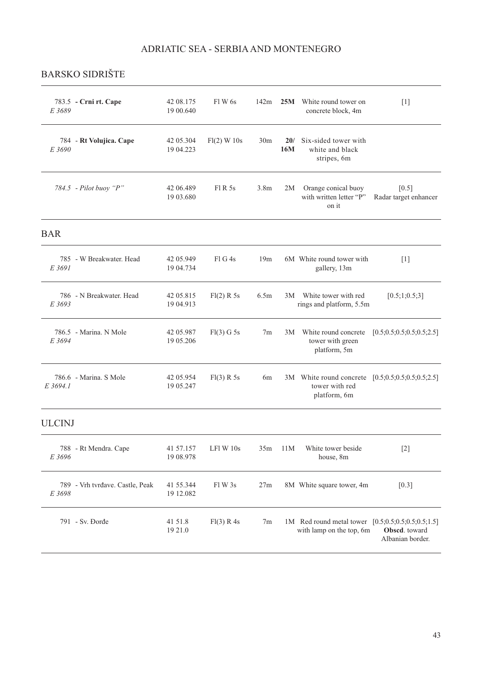## BARSKO SIDRIŠTE

| E 3689        | 783.5 - Crni rt. Cape           | 42 08.175<br>19 00:640 | Fl W 6s       | 142m             |            | <b>25M</b> White round tower on<br>concrete block, 4m                               | $[1]$                             |
|---------------|---------------------------------|------------------------|---------------|------------------|------------|-------------------------------------------------------------------------------------|-----------------------------------|
| E 3690        | 784 - Rt Volujica. Cape         | 42 05:304<br>19 04.223 | $Fl(2)$ W 10s | 30 <sub>m</sub>  | 20/<br>16M | Six-sided tower with<br>white and black<br>stripes, 6m                              |                                   |
|               | 784.5 - Pilot buoy "P"          | 42 06.489<br>19 03.680 | F1R5s         | 3.8 <sub>m</sub> | 2M         | Orange conical buoy<br>with written letter "P"<br>on it                             | $[0.5]$<br>Radar target enhancer  |
| <b>BAR</b>    |                                 |                        |               |                  |            |                                                                                     |                                   |
| E 3691        | 785 - W Breakwater, Head        | 42 05.949<br>19 04.734 | FIG4s         | 19m              |            | 6M White round tower with<br>gallery, 13m                                           | $[1]$                             |
| E 3693        | 786 - N Breakwater. Head        | 42 05.815<br>19 04.913 | Fl(2) R 5s    | 6.5m             | 3M         | White tower with red<br>rings and platform, 5.5m                                    | [0.5;1;0.5;3]                     |
| E 3694        | 786.5 - Marina. N Mole          | 42 05.987<br>19 05.206 | Fl(3) G 5s    | 7 <sub>m</sub>   | 3M         | White round concrete<br>tower with green<br>platform, 5m                            | [0.5; 0.5; 0.5; 0.5; 0.5; 2.5]    |
| E 3694.1      | 786.6 - Marina. S Mole          | 42 05.954<br>19 05.247 | Fl(3) R 5s    | 6m               |            | 3M White round concrete [0.5;0.5;0.5;0.5;0.5;2.5]<br>tower with red<br>platform, 6m |                                   |
| <b>ULCINJ</b> |                                 |                        |               |                  |            |                                                                                     |                                   |
| E 3696        | 788 - Rt Mendra. Cape           | 41 57.157<br>19 08.978 | LFl W 10s     |                  | 35m 11M    | White tower beside<br>house, 8m                                                     | $[2]$                             |
| E 3698        | 789 - Vrh tvrđave. Castle, Peak | 41 55.344<br>19 12.082 | Fl W 3s       | 27m              |            | 8M White square tower, 4m                                                           | $[0.3]$                           |
|               | 791 - Sv. Đorđe                 | 41 51.8<br>19 21.0     | Fl(3) R 4s    | 7m               |            | 1M Red round metal tower [0.5;0.5;0.5;0.5;0.5;1.5]<br>with lamp on the top, 6m      | Obscd. toward<br>Albanian border. |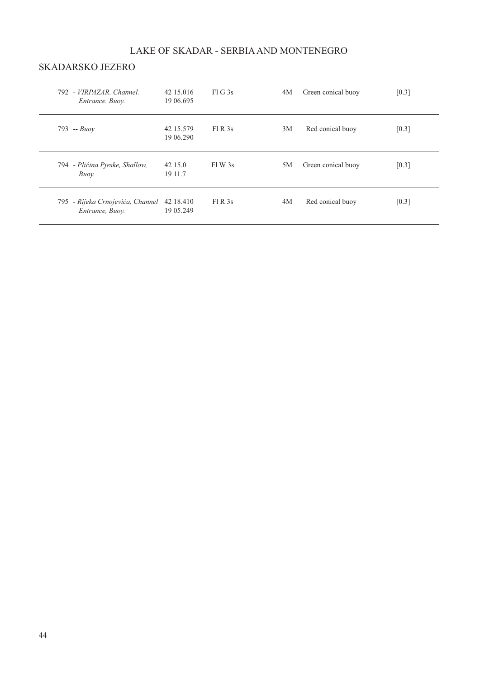## LAKE OF SKADAR - SERBIA AND MONTENEGRO

### SKADARSKO JEZERO

| 792 - VIRPAZAR, Channel.<br>Entrance. Buoy.         | 42 15 016<br>19 06.695 | FIG3s | 4M | Green conical buoy | [0.3] |
|-----------------------------------------------------|------------------------|-------|----|--------------------|-------|
| $793 - Buov$                                        | 42 15.579<br>19 06.290 | F1R3s | 3M | Red conical buoy   | [0.3] |
| 794 - Plićina Pjeske, Shallow,<br>Buov.             | 42 15.0<br>19 11.7     | F1W3s | 5M | Green conical buoy | [0.3] |
| 795 - Rijeka Crnojevića, Channel<br>Entrance, Buoy. | 42 18.410<br>19 05.249 | F1R3s | 4M | Red conical buoy   | [0.3] |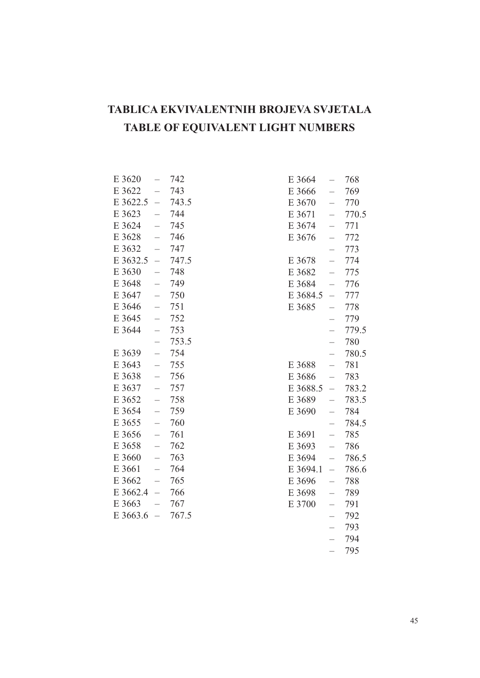## **TABLICA EKVIVALENTNIH BROJEVA SVJETALA TABLE OF EQUIVALENT LIGHT NUMBERS**

| E 3620   |                          | 742   |
|----------|--------------------------|-------|
| E 3622   |                          | 743   |
| E 3622.5 |                          | 743.5 |
| E 3623   | $\overline{\phantom{0}}$ | 744   |
| E 3624   | $\overline{\phantom{0}}$ | 745   |
| E 3628   |                          | 746   |
| E 3632   |                          | 747   |
| E 3632.5 | $\overline{\phantom{0}}$ | 747.5 |
| E 3630   |                          | 748   |
| E 3648   |                          | 749   |
| E 3647   | $\overline{\phantom{0}}$ | 750   |
| E 3646   | $\overline{\phantom{0}}$ | 751   |
| E 3645   |                          | 752   |
| E 3644   |                          | 753   |
|          | $\overline{\phantom{0}}$ | 753.5 |
| E 3639   | $\overline{\phantom{a}}$ | 754   |
| E 3643   |                          | 755   |
| E 3638   | $\overline{a}$           | 756   |
| E 3637   | $\overline{ }$           | 757   |
| E 3652   | $\overline{a}$           | 758   |
| E 3654   |                          | 759   |
| E 3655   |                          | 760   |
| E 3656   | $\overline{\phantom{0}}$ | 761   |
| E 3658   |                          | 762   |
| E 3660   |                          | 763   |
| E 3661   | $\overline{\phantom{0}}$ | 764   |
| E 3662   | $\overline{\phantom{0}}$ | 765   |
| E 3662.4 | $\overline{\phantom{0}}$ | 766   |
| E 3663   | $\overline{\phantom{0}}$ | 767   |
| E 3663.6 |                          | 767.5 |

| E 3664   |                          | 768   |
|----------|--------------------------|-------|
| E 3666   |                          | 769   |
| E 3670   |                          | 770   |
| E 3671   |                          | 770.5 |
| E 3674   | $\overline{\phantom{0}}$ | 771   |
| E 3676   |                          | 772   |
|          |                          | 773   |
| E 3678   | $\overline{\phantom{0}}$ | 774   |
| E 3682   | $\overline{a}$           | 775   |
| E 3684   | $\overline{a}$           | 776   |
| E 3684.5 | $\overline{\phantom{0}}$ | 777   |
| E 3685   | $\overline{\phantom{0}}$ | 778   |
|          | $\overline{\phantom{0}}$ | 779   |
|          |                          | 779.5 |
|          | $\overline{a}$           | 780   |
|          | $\overline{\phantom{0}}$ | 780.5 |
| E 3688   | $\overline{a}$           | 781   |
| E 3686   |                          | 783   |
| E 3688.5 | $\overline{a}$           | 783.2 |
| E 3689   |                          | 783.5 |
| E 3690   |                          | 784   |
|          |                          | 784.5 |
| E 3691   | $\overline{\phantom{0}}$ | 785   |
| E 3693   | $\overline{a}$           | 786   |
| E 3694   | $\overline{a}$           | 786.5 |
| E 3694.1 | $\overline{a}$           | 786.6 |
| E 3696   | $\overline{\phantom{0}}$ | 788   |
| E 3698   | $\overline{\phantom{0}}$ | 789   |
| E 3700   |                          | 791   |
|          |                          | 792   |
|          | $\overline{a}$           | 793   |
|          | $\overline{\phantom{0}}$ | 794   |
|          |                          | 795   |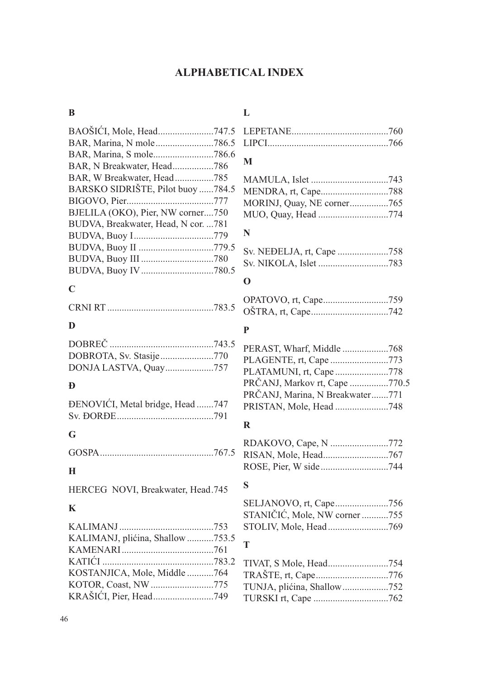## **ALPHABETICAL INDEX**

## **B**

| BAOŠIĆI, Mole, Head747.5            |  |
|-------------------------------------|--|
| BAR, Marina, N mole786.5            |  |
| BAR, Marina, S mole786.6            |  |
| BAR, N Breakwater, Head786          |  |
| BAR, W Breakwater, Head785          |  |
| BARSKO SIDRIŠTE, Pilot buoy 784.5   |  |
|                                     |  |
| BJELILA (OKO), Pier, NW corner750   |  |
| BUDVA, Breakwater, Head, N cor. 781 |  |
|                                     |  |
| BUDVA, Buoy II 779.5                |  |
|                                     |  |
|                                     |  |
|                                     |  |

## **C**

|--|--|--|--|

## **D**

| DONJA LASTVA, Quay757 |  |
|-----------------------|--|

## **Đ**

| <b>ĐENOVIĆI</b> , Metal bridge, Head 747 |  |
|------------------------------------------|--|
|                                          |  |

## **G**

GOSPA...............................................767.5

## **H**

HERCEG NOVI, Breakwater, Head.745

## **K**

| KALIMANJ, plićina, Shallow 753.5 |  |
|----------------------------------|--|
|                                  |  |
|                                  |  |
| KOSTANJICA, Mole, Middle 764     |  |
| KOTOR, Coast, NW775              |  |
|                                  |  |

## **L**

## **M**

| MORINJ, Quay, NE corner765 |  |
|----------------------------|--|
|                            |  |

## **N**

## **O**

## **P**

| PERAST, Wharf, Middle 768       |  |
|---------------------------------|--|
| PLAGENTE, rt, Cape 773          |  |
| PLATAMUNI, rt, Cape778          |  |
| PRČANJ, Markov rt, Cape 770.5   |  |
| PRČANJ, Marina, N Breakwater771 |  |
| PRISTAN, Mole, Head 748         |  |
|                                 |  |

## **R**

| RDAKOVO, Cape, N 772 |  |
|----------------------|--|
|                      |  |
|                      |  |

## **S**

| SELJANOVO, rt, Cape756        |  |
|-------------------------------|--|
| STANIČIĆ, Mole, NW corner 755 |  |
|                               |  |

# $\frac{5}{\text{T}}$

| TRAŠTE, rt, Cape776 |
|---------------------|
|                     |
|                     |
|                     |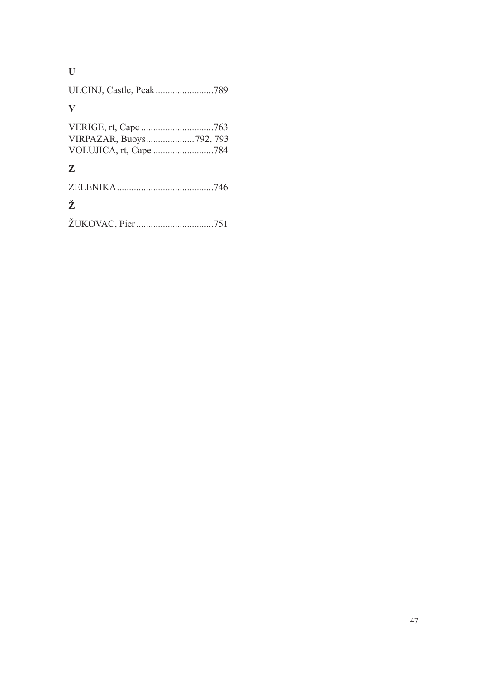## **U**

|--|--|--|--|--|

## **V**

| VIRPAZAR, Buoys792, 793 |  |
|-------------------------|--|
|                         |  |

## **Z**

| Ž |  |
|---|--|
|   |  |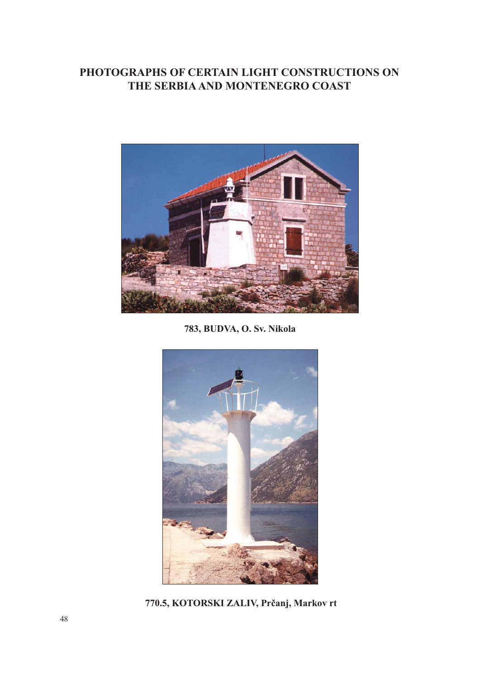## **PHOTOGRAPHS OF CERTAIN LIGHT CONSTRUCTIONS ON THE SERBIA AND MONTENEGRO COAST**



**783, BUDVA, O. Sv. Nikola**



**770.5, KOTORSKI ZALIV, Prčanj, Markov rt**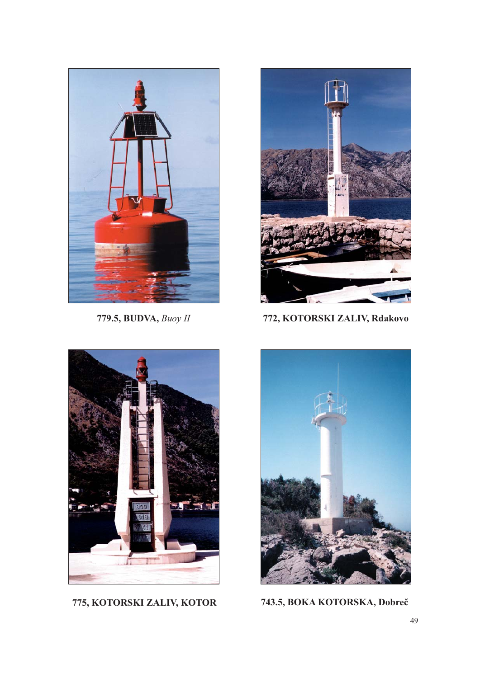



**779.5, BUDVA,** *Buoy II* **772, KOTORSKI ZALIV, Rdakovo**



**775, KOTORSKI ZALIV, KOTOR 743.5, BOKA KOTORSKA, Dobreč**